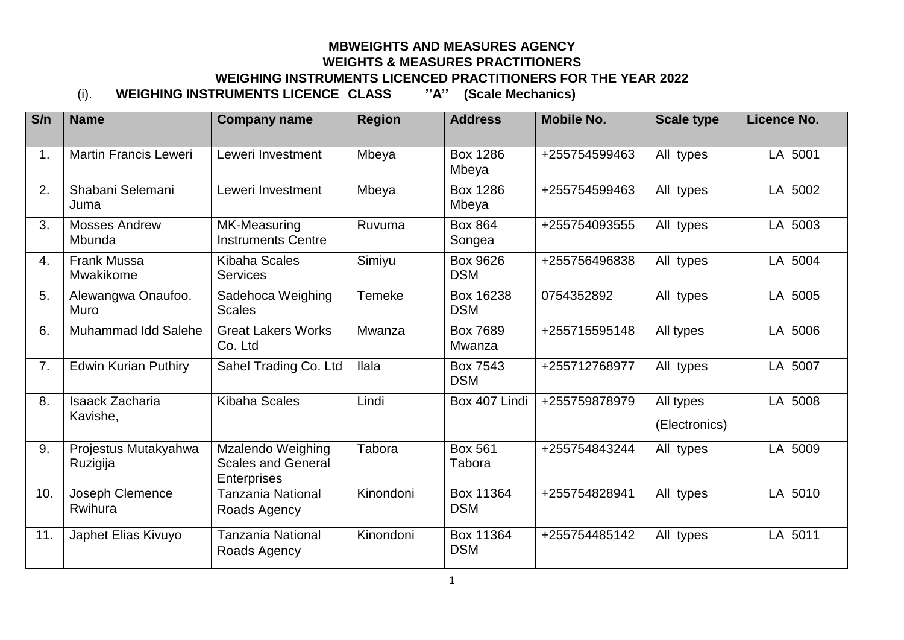## **MBWEIGHTS AND MEASURES AGENCY WEIGHTS & MEASURES PRACTITIONERS WEIGHING INSTRUMENTS LICENCED PRACTITIONERS FOR THE YEAR 2022** (i). **WEIGHING INSTRUMENTS LICENCE CLASS ''A'' (Scale Mechanics)**

**S/n Name Company name Region Address Mobile No. Scale type Licence No.** 1. Martin Francis Leweri Leweri Investment Inbeva Box 1286 Mbeya +255754599463 All types LA 5001 2. Shabani Selemani Juma Leweri Investment | Mbeya | Box 1286 Mbeya +255754599463 All types LA 5002 3. Mosses Andrew Mbunda MK-Measuring Instruments Centre Ruvuma Box 864 Songea +255754093555 All types LA 5003 4. Frank Mussa Mwakikome Kibaha Scales **Services** Simiyu Box 9626 DSM +255756496838 All types LA 5004 5. Alewangwa Onaufoo. Muro Sadehoca Weighing Scales Temeke Box 16238 DSM 0754352892 | All types | LA 5005 6. Muhammad Idd Salehe Great Lakers Works Co. Ltd Mwanza Box 7689 Mwanza +255715595148 All types LA 5006 7. Edwin Kurian Puthiry Sahel Trading Co. Ltd | Ilala | Box 7543 **DSM** +255712768977 All types LA 5007 8. Isaack Zacharia Kavishe, Kibaha Scales  $\vert$  Lindi  $\vert$  Box 407 Lindi +255759878979 All types (Electronics) LA 5008 9. Projestus Mutakyahwa **Ruzigija** Mzalendo Weighing Scales and General **Enterprises** Tabora Box 561 Tabora +255754843244 All types LA 5009 10. Joseph Clemence Rwihura Tanzania National Roads Agency Kinondoni Box 11364 DSM +255754828941 All types LA 5010 11. Japhet Elias Kivuvo | Tanzania National Roads Agency Kinondoni Box 11364 DSM +255754485142 All types LA 5011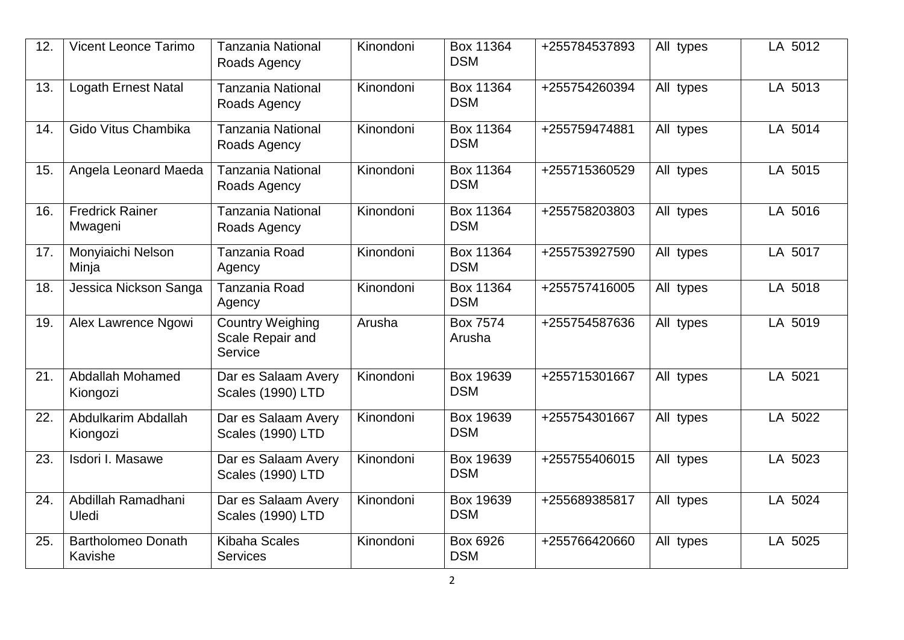| 12. | <b>Vicent Leonce Tarimo</b>          | <b>Tanzania National</b><br>Roads Agency               | Kinondoni | Box 11364<br><b>DSM</b> | +255784537893 | All types | LA 5012 |
|-----|--------------------------------------|--------------------------------------------------------|-----------|-------------------------|---------------|-----------|---------|
| 13. | <b>Logath Ernest Natal</b>           | <b>Tanzania National</b><br>Roads Agency               | Kinondoni | Box 11364<br><b>DSM</b> | +255754260394 | All types | LA 5013 |
| 14. | Gido Vitus Chambika                  | <b>Tanzania National</b><br>Roads Agency               | Kinondoni | Box 11364<br><b>DSM</b> | +255759474881 | All types | LA 5014 |
| 15. | Angela Leonard Maeda                 | <b>Tanzania National</b><br>Roads Agency               | Kinondoni | Box 11364<br><b>DSM</b> | +255715360529 | All types | LA 5015 |
| 16. | <b>Fredrick Rainer</b><br>Mwageni    | <b>Tanzania National</b><br>Roads Agency               | Kinondoni | Box 11364<br><b>DSM</b> | +255758203803 | All types | LA 5016 |
| 17. | Monyiaichi Nelson<br>Minja           | Tanzania Road<br>Agency                                | Kinondoni | Box 11364<br><b>DSM</b> | +255753927590 | All types | LA 5017 |
| 18. | Jessica Nickson Sanga                | Tanzania Road<br>Agency                                | Kinondoni | Box 11364<br><b>DSM</b> | +255757416005 | All types | LA 5018 |
| 19. | Alex Lawrence Ngowi                  | <b>Country Weighing</b><br>Scale Repair and<br>Service | Arusha    | Box 7574<br>Arusha      | +255754587636 | All types | LA 5019 |
| 21. | Abdallah Mohamed<br>Kiongozi         | Dar es Salaam Avery<br>Scales (1990) LTD               | Kinondoni | Box 19639<br><b>DSM</b> | +255715301667 | All types | LA 5021 |
| 22. | Abdulkarim Abdallah<br>Kiongozi      | Dar es Salaam Avery<br>Scales (1990) LTD               | Kinondoni | Box 19639<br><b>DSM</b> | +255754301667 | All types | LA 5022 |
| 23. | Isdori I. Masawe                     | Dar es Salaam Avery<br>Scales (1990) LTD               | Kinondoni | Box 19639<br><b>DSM</b> | +255755406015 | All types | LA 5023 |
| 24. | Abdillah Ramadhani<br>Uledi          | Dar es Salaam Avery<br><b>Scales (1990) LTD</b>        | Kinondoni | Box 19639<br><b>DSM</b> | +255689385817 | All types | LA 5024 |
| 25. | <b>Bartholomeo Donath</b><br>Kavishe | <b>Kibaha Scales</b><br><b>Services</b>                | Kinondoni | Box 6926<br><b>DSM</b>  | +255766420660 | All types | LA 5025 |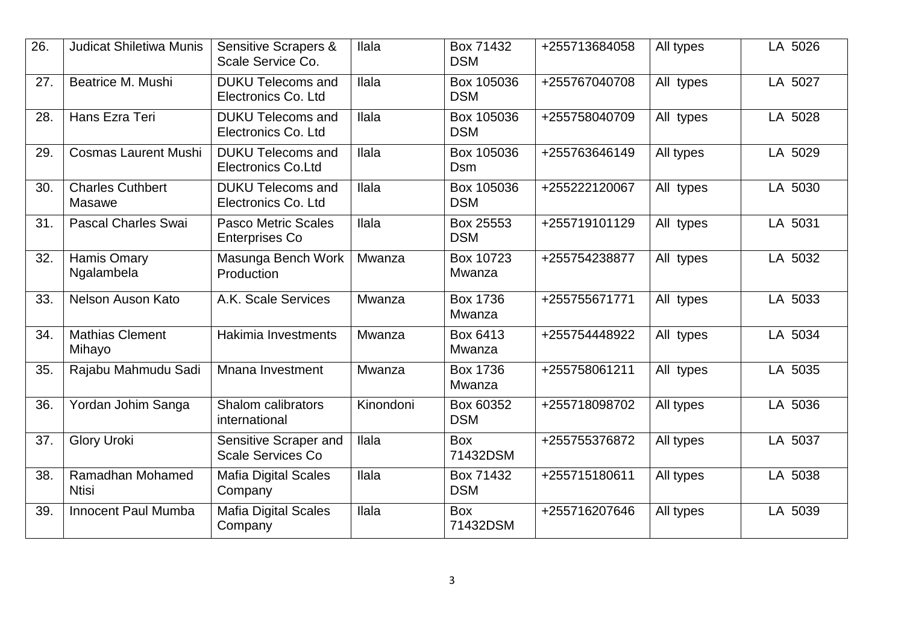| $\overline{26}$ . | <b>Judicat Shiletiwa Munis</b>    | <b>Sensitive Scrapers &amp;</b><br>Scale Service Co.  | <b>Ilala</b> | Box 71432<br><b>DSM</b>   | +255713684058 | All types | LA 5026 |
|-------------------|-----------------------------------|-------------------------------------------------------|--------------|---------------------------|---------------|-----------|---------|
| 27.               | Beatrice M. Mushi                 | <b>DUKU Telecoms and</b><br>Electronics Co. Ltd       | Ilala        | Box 105036<br><b>DSM</b>  | +255767040708 | All types | LA 5027 |
| 28.               | Hans Ezra Teri                    | <b>DUKU Telecoms and</b><br>Electronics Co. Ltd       | Ilala        | Box 105036<br><b>DSM</b>  | +255758040709 | All types | LA 5028 |
| 29.               | <b>Cosmas Laurent Mushi</b>       | <b>DUKU Telecoms and</b><br><b>Electronics Co.Ltd</b> | Ilala        | Box 105036<br><b>Dsm</b>  | +255763646149 | All types | LA 5029 |
| 30.               | <b>Charles Cuthbert</b><br>Masawe | <b>DUKU Telecoms and</b><br>Electronics Co. Ltd       | <b>Ilala</b> | Box 105036<br><b>DSM</b>  | +255222120067 | All types | LA 5030 |
| 31.               | <b>Pascal Charles Swai</b>        | <b>Pasco Metric Scales</b><br><b>Enterprises Co</b>   | Ilala        | Box 25553<br><b>DSM</b>   | +255719101129 | All types | LA 5031 |
| 32.               | Hamis Omary<br>Ngalambela         | Masunga Bench Work<br>Production                      | Mwanza       | Box 10723<br>Mwanza       | +255754238877 | All types | LA 5032 |
| 33.               | Nelson Auson Kato                 | A.K. Scale Services                                   | Mwanza       | <b>Box 1736</b><br>Mwanza | +255755671771 | All types | LA 5033 |
| 34.               | <b>Mathias Clement</b><br>Mihayo  | Hakimia Investments                                   | Mwanza       | Box 6413<br>Mwanza        | +255754448922 | All types | LA 5034 |
| 35.               | Rajabu Mahmudu Sadi               | Mnana Investment                                      | Mwanza       | <b>Box 1736</b><br>Mwanza | +255758061211 | All types | LA 5035 |
| 36.               | Yordan Johim Sanga                | Shalom calibrators<br>international                   | Kinondoni    | Box 60352<br><b>DSM</b>   | +255718098702 | All types | LA 5036 |
| 37.               | <b>Glory Uroki</b>                | Sensitive Scraper and<br><b>Scale Services Co</b>     | <b>Ilala</b> | <b>Box</b><br>71432DSM    | +255755376872 | All types | LA 5037 |
| 38.               | Ramadhan Mohamed<br><b>Ntisi</b>  | <b>Mafia Digital Scales</b><br>Company                | <b>Ilala</b> | Box 71432<br><b>DSM</b>   | +255715180611 | All types | LA 5038 |
| 39.               | <b>Innocent Paul Mumba</b>        | <b>Mafia Digital Scales</b><br>Company                | Ilala        | <b>Box</b><br>71432DSM    | +255716207646 | All types | LA 5039 |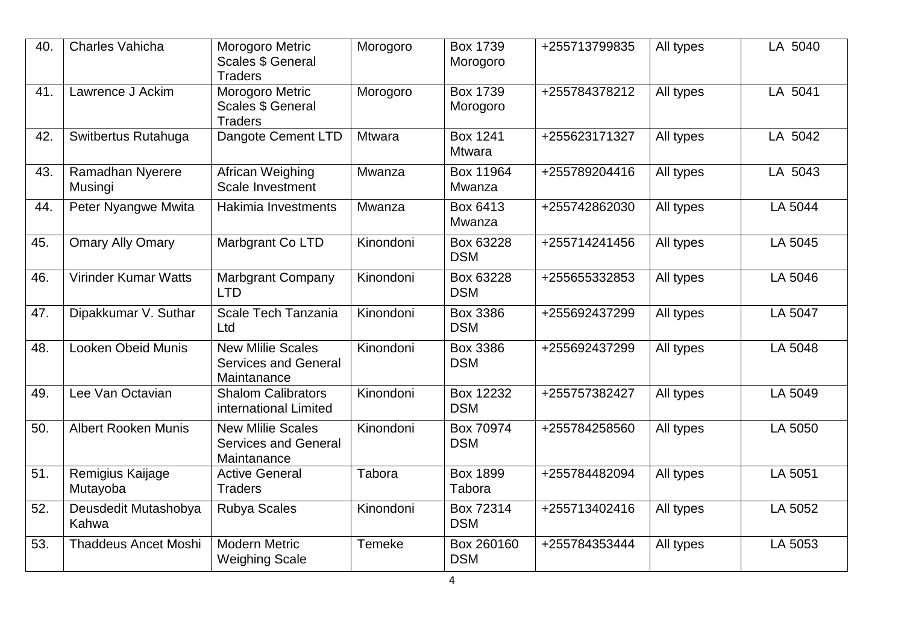| 40. | <b>Charles Vahicha</b>             | Morogoro Metric<br><b>Scales \$ General</b><br><b>Traders</b>          | Morogoro  | <b>Box 1739</b><br>Morogoro      | +255713799835 | All types | LA 5040 |
|-----|------------------------------------|------------------------------------------------------------------------|-----------|----------------------------------|---------------|-----------|---------|
| 41. | Lawrence J Ackim                   | Morogoro Metric<br><b>Scales \$ General</b><br><b>Traders</b>          | Morogoro  | <b>Box 1739</b><br>Morogoro      | +255784378212 | All types | LA 5041 |
| 42. | Switbertus Rutahuga                | Dangote Cement LTD                                                     | Mtwara    | <b>Box 1241</b><br><b>Mtwara</b> | +255623171327 | All types | LA 5042 |
| 43. | <b>Ramadhan Nyerere</b><br>Musingi | African Weighing<br>Scale Investment                                   | Mwanza    | Box 11964<br>Mwanza              | +255789204416 | All types | LA 5043 |
| 44. | Peter Nyangwe Mwita                | Hakimia Investments                                                    | Mwanza    | Box 6413<br>Mwanza               | +255742862030 | All types | LA 5044 |
| 45. | <b>Omary Ally Omary</b>            | Marbgrant Co LTD                                                       | Kinondoni | Box 63228<br><b>DSM</b>          | +255714241456 | All types | LA 5045 |
| 46. | <b>Virinder Kumar Watts</b>        | <b>Marbgrant Company</b><br><b>LTD</b>                                 | Kinondoni | Box 63228<br><b>DSM</b>          | +255655332853 | All types | LA 5046 |
| 47. | Dipakkumar V. Suthar               | Scale Tech Tanzania<br>Ltd                                             | Kinondoni | Box 3386<br><b>DSM</b>           | +255692437299 | All types | LA 5047 |
| 48. | <b>Looken Obeid Munis</b>          | <b>New Mlilie Scales</b><br><b>Services and General</b><br>Maintanance | Kinondoni | <b>Box 3386</b><br><b>DSM</b>    | +255692437299 | All types | LA 5048 |
| 49. | Lee Van Octavian                   | <b>Shalom Calibrators</b><br>international Limited                     | Kinondoni | Box 12232<br><b>DSM</b>          | +255757382427 | All types | LA 5049 |
| 50. | <b>Albert Rooken Munis</b>         | <b>New Mlilie Scales</b><br><b>Services and General</b><br>Maintanance | Kinondoni | Box 70974<br><b>DSM</b>          | +255784258560 | All types | LA 5050 |
| 51. | Remigius Kaijage<br>Mutayoba       | <b>Active General</b><br><b>Traders</b>                                | Tabora    | <b>Box 1899</b><br>Tabora        | +255784482094 | All types | LA 5051 |
| 52. | Deusdedit Mutashobya<br>Kahwa      | <b>Rubya Scales</b>                                                    | Kinondoni | Box 72314<br><b>DSM</b>          | +255713402416 | All types | LA 5052 |
| 53. | <b>Thaddeus Ancet Moshi</b>        | <b>Modern Metric</b><br><b>Weighing Scale</b>                          | Temeke    | Box 260160<br><b>DSM</b>         | +255784353444 | All types | LA 5053 |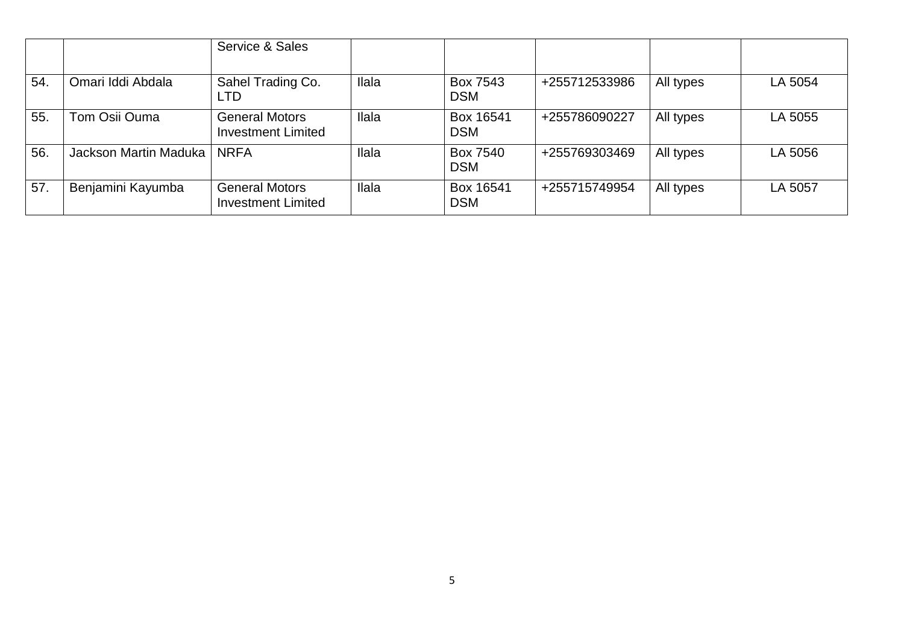|     |                       | Service & Sales                                    |              |                         |               |           |         |
|-----|-----------------------|----------------------------------------------------|--------------|-------------------------|---------------|-----------|---------|
| 54. | Omari Iddi Abdala     | Sahel Trading Co.<br>LTD                           | Ilala        | Box 7543<br><b>DSM</b>  | +255712533986 | All types | LA 5054 |
| 55. | Tom Osii Ouma         | <b>General Motors</b><br><b>Investment Limited</b> | <b>Ilala</b> | Box 16541<br><b>DSM</b> | +255786090227 | All types | LA 5055 |
| 56. | Jackson Martin Maduka | <b>NRFA</b>                                        | Ilala        | Box 7540<br><b>DSM</b>  | +255769303469 | All types | LA 5056 |
| 57. | Benjamini Kayumba     | <b>General Motors</b><br><b>Investment Limited</b> | Ilala        | Box 16541<br><b>DSM</b> | +255715749954 | All types | LA 5057 |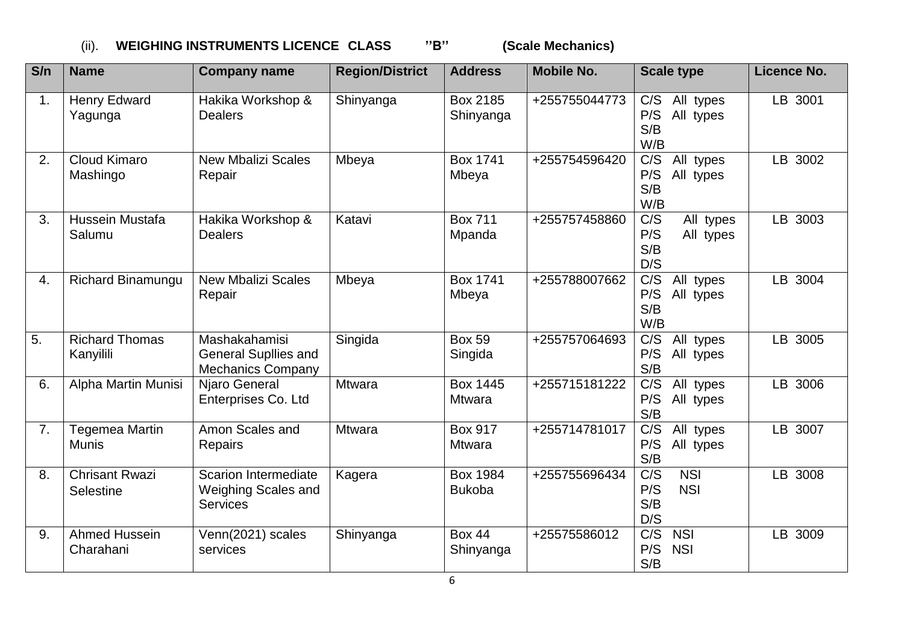## (ii). **WEIGHING INSTRUMENTS LICENCE CLASS ''B'' (Scale Mechanics)**

| S/n | <b>Name</b>                           | <b>Company name</b>                                                          | <b>Region/District</b> | <b>Address</b>                   | <b>Mobile No.</b> | <b>Scale type</b>                                               | Licence No. |
|-----|---------------------------------------|------------------------------------------------------------------------------|------------------------|----------------------------------|-------------------|-----------------------------------------------------------------|-------------|
| 1.  | <b>Henry Edward</b><br>Yagunga        | Hakika Workshop &<br><b>Dealers</b>                                          | Shinyanga              | Box 2185<br>Shinyanga            | +255755044773     | C/S<br>All types<br>P/S<br>All types<br>S/B<br>W/B              | LB 3001     |
| 2.  | Cloud Kimaro<br>Mashingo              | <b>New Mbalizi Scales</b><br>Repair                                          | Mbeya                  | <b>Box 1741</b><br>Mbeya         | +255754596420     | C/S<br>All types<br>P/S<br>All types<br>S/B<br>W/B              | LB 3002     |
| 3.  | Hussein Mustafa<br>Salumu             | Hakika Workshop &<br><b>Dealers</b>                                          | Katavi                 | <b>Box 711</b><br>Mpanda         | +255757458860     | $\overline{C/S}$<br>All types<br>P/S<br>All types<br>S/B<br>D/S | LB 3003     |
| 4.  | Richard Binamungu                     | <b>New Mbalizi Scales</b><br>Repair                                          | Mbeya                  | <b>Box 1741</b><br>Mbeya         | +255788007662     | $\overline{C/S}$<br>All types<br>P/S<br>All types<br>S/B<br>W/B | LB 3004     |
| 5.  | <b>Richard Thomas</b><br>Kanyilili    | Mashakahamisi<br><b>General Supllies and</b><br><b>Mechanics Company</b>     | Singida                | <b>Box 59</b><br>Singida         | +255757064693     | C/S<br>All types<br>P/S<br>All types<br>S/B                     | LB 3005     |
| 6.  | Alpha Martin Munisi                   | Njaro General<br>Enterprises Co. Ltd                                         | <b>Mtwara</b>          | <b>Box 1445</b><br><b>Mtwara</b> | +255715181222     | C/S<br>All types<br>P/S<br>All types<br>S/B                     | LB 3006     |
| 7.  | <b>Tegemea Martin</b><br><b>Munis</b> | Amon Scales and<br><b>Repairs</b>                                            | <b>Mtwara</b>          | <b>Box 917</b><br><b>Mtwara</b>  | +255714781017     | $\overline{C/S}$<br>All types<br>P/S<br>All types<br>S/B        | LB 3007     |
| 8.  | <b>Chrisant Rwazi</b><br>Selestine    | <b>Scarion Intermediate</b><br><b>Weighing Scales and</b><br><b>Services</b> | Kagera                 | <b>Box 1984</b><br><b>Bukoba</b> | +255755696434     | C/S<br><b>NSI</b><br>P/S<br><b>NSI</b><br>S/B<br>D/S            | LB 3008     |
| 9.  | <b>Ahmed Hussein</b><br>Charahani     | Venn(2021) scales<br>services                                                | Shinyanga              | <b>Box 44</b><br>Shinyanga       | +25575586012      | C/S<br><b>NSI</b><br>P/S<br><b>NSI</b><br>S/B                   | LB 3009     |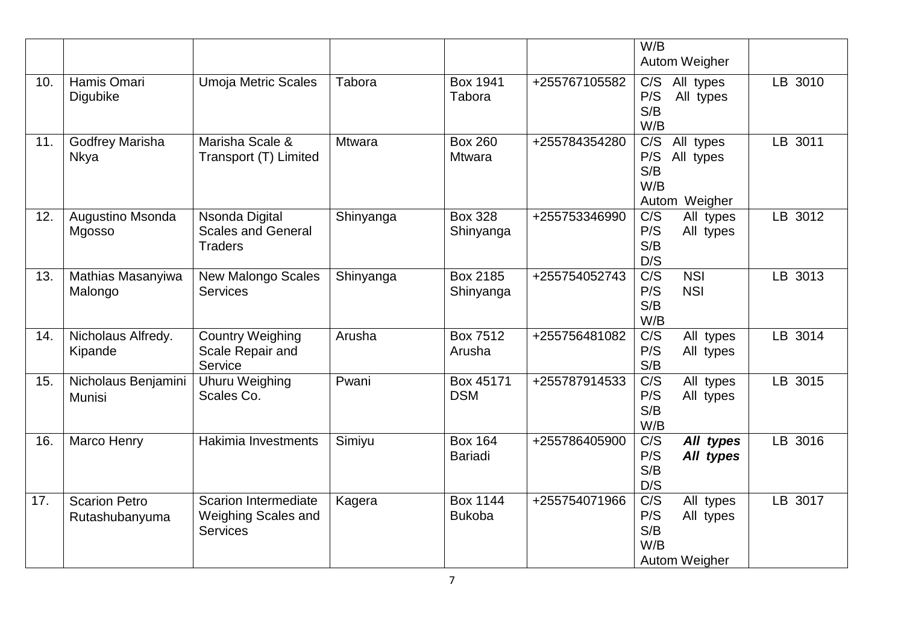|     |                                        |                                                                              |               |                                  |               | W/B<br>Autom Weigher                                                             |         |
|-----|----------------------------------------|------------------------------------------------------------------------------|---------------|----------------------------------|---------------|----------------------------------------------------------------------------------|---------|
| 10. | Hamis Omari<br>Digubike                | <b>Umoja Metric Scales</b>                                                   | Tabora        | <b>Box 1941</b><br>Tabora        | +255767105582 | All types<br>C/S<br>P/S<br>All types<br>S/B<br>W/B                               | LB 3010 |
| 11. | <b>Godfrey Marisha</b><br><b>Nkya</b>  | Marisha Scale &<br>Transport (T) Limited                                     | <b>Mtwara</b> | <b>Box 260</b><br><b>Mtwara</b>  | +255784354280 | $\overline{C/S}$<br>All types<br>P/S<br>All types<br>S/B<br>W/B<br>Autom Weigher | LB 3011 |
| 12. | Augustino Msonda<br>Mgosso             | Nsonda Digital<br><b>Scales and General</b><br><b>Traders</b>                | Shinyanga     | <b>Box 328</b><br>Shinyanga      | +255753346990 | C/S<br>All types<br>P/S<br>All types<br>S/B<br>D/S                               | LB 3012 |
| 13. | Mathias Masanyiwa<br>Malongo           | <b>New Malongo Scales</b><br><b>Services</b>                                 | Shinyanga     | Box 2185<br>Shinyanga            | +255754052743 | $\overline{C/S}$<br><b>NSI</b><br>P/S<br><b>NSI</b><br>S/B<br>W/B                | LB 3013 |
| 14. | Nicholaus Alfredy.<br>Kipande          | <b>Country Weighing</b><br>Scale Repair and<br>Service                       | Arusha        | Box 7512<br>Arusha               | +255756481082 | C/S<br>All types<br>P/S<br>All types<br>S/B                                      | LB 3014 |
| 15. | Nicholaus Benjamini<br>Munisi          | <b>Uhuru Weighing</b><br>Scales Co.                                          | Pwani         | Box 45171<br><b>DSM</b>          | +255787914533 | C/S<br>All types<br>P/S<br>All types<br>S/B<br>W/B                               | LB 3015 |
| 16. | Marco Henry                            | Hakimia Investments                                                          | Simiyu        | <b>Box 164</b><br><b>Bariadi</b> | +255786405900 | $\overline{C/S}$<br>All types<br>P/S<br>All types<br>S/B<br>D/S                  | LB 3016 |
| 17. | <b>Scarion Petro</b><br>Rutashubanyuma | <b>Scarion Intermediate</b><br><b>Weighing Scales and</b><br><b>Services</b> | Kagera        | <b>Box 1144</b><br><b>Bukoba</b> | +255754071966 | C/S<br>All types<br>P/S<br>All types<br>S/B<br>W/B<br><b>Autom Weigher</b>       | LB 3017 |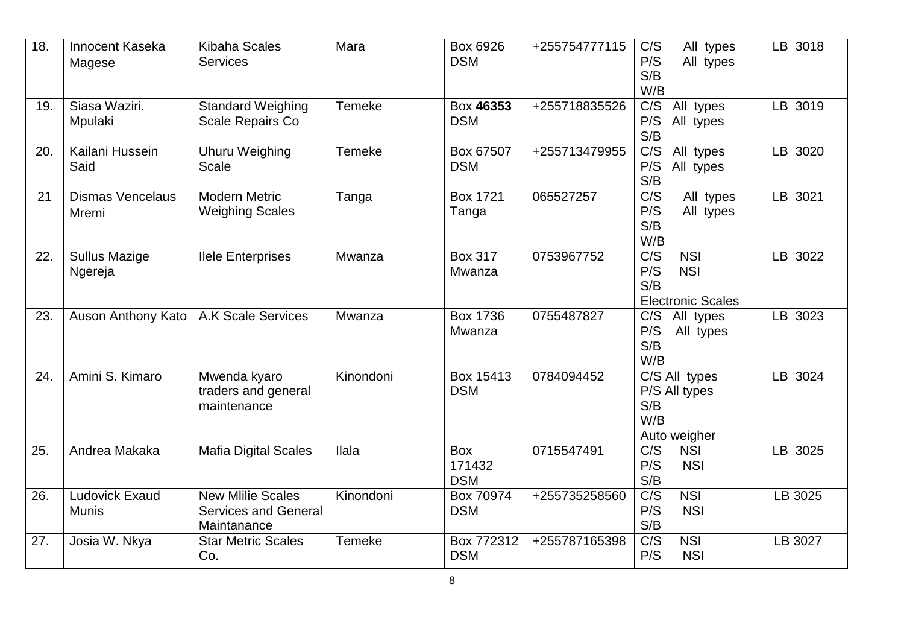| 18. | Innocent Kaseka<br>Magese             | <b>Kibaha Scales</b><br><b>Services</b>                                | Mara          | Box 6926<br><b>DSM</b>             | +255754777115 | C/S<br>All types<br>P/S<br>All types<br>S/B<br>W/B                                     | LB 3018 |
|-----|---------------------------------------|------------------------------------------------------------------------|---------------|------------------------------------|---------------|----------------------------------------------------------------------------------------|---------|
| 19. | Siasa Waziri.<br>Mpulaki              | <b>Standard Weighing</b><br>Scale Repairs Co                           | <b>Temeke</b> | Box 46353<br><b>DSM</b>            | +255718835526 | $\overline{C/S}$<br>All types<br>P/S<br>All types<br>S/B                               | LB 3019 |
| 20. | Kailani Hussein<br>Said               | Uhuru Weighing<br><b>Scale</b>                                         | <b>Temeke</b> | Box 67507<br><b>DSM</b>            | +255713479955 | C/S<br>All types<br>P/S<br>All types<br>S/B                                            | LB 3020 |
| 21  | <b>Dismas Vencelaus</b><br>Mremi      | <b>Modern Metric</b><br><b>Weighing Scales</b>                         | Tanga         | <b>Box 1721</b><br>Tanga           | 065527257     | C/S<br>All types<br>P/S<br>All types<br>S/B<br>W/B                                     | LB 3021 |
| 22. | <b>Sullus Mazige</b><br>Ngereja       | <b>Ilele Enterprises</b>                                               | Mwanza        | <b>Box 317</b><br>Mwanza           | 0753967752    | $\overline{C/S}$<br><b>NSI</b><br>P/S<br><b>NSI</b><br>S/B<br><b>Electronic Scales</b> | LB 3022 |
| 23. | Auson Anthony Kato                    | <b>A.K Scale Services</b>                                              | Mwanza        | <b>Box 1736</b><br>Mwanza          | 0755487827    | C/S<br>All types<br>P/S<br>All types<br>S/B<br>W/B                                     | LB 3023 |
| 24. | Amini S. Kimaro                       | Mwenda kyaro<br>traders and general<br>maintenance                     | Kinondoni     | Box 15413<br><b>DSM</b>            | 0784094452    | $\overline{C/S}$ All types<br>P/S All types<br>S/B<br>W/B<br>Auto weigher              | LB 3024 |
| 25. | Andrea Makaka                         | <b>Mafia Digital Scales</b>                                            | Ilala         | <b>Box</b><br>171432<br><b>DSM</b> | 0715547491    | <b>NSI</b><br>C/S<br>P/S<br><b>NSI</b><br>S/B                                          | LB 3025 |
| 26. | <b>Ludovick Exaud</b><br><b>Munis</b> | <b>New Mlilie Scales</b><br><b>Services and General</b><br>Maintanance | Kinondoni     | Box 70974<br><b>DSM</b>            | +255735258560 | C/S<br><b>NSI</b><br><b>NSI</b><br>P/S<br>S/B                                          | LB 3025 |
| 27. | Josia W. Nkya                         | <b>Star Metric Scales</b><br>Co.                                       | Temeke        | Box 772312<br><b>DSM</b>           | +255787165398 | $\overline{C/S}$<br><b>NSI</b><br>P/S<br><b>NSI</b>                                    | LB 3027 |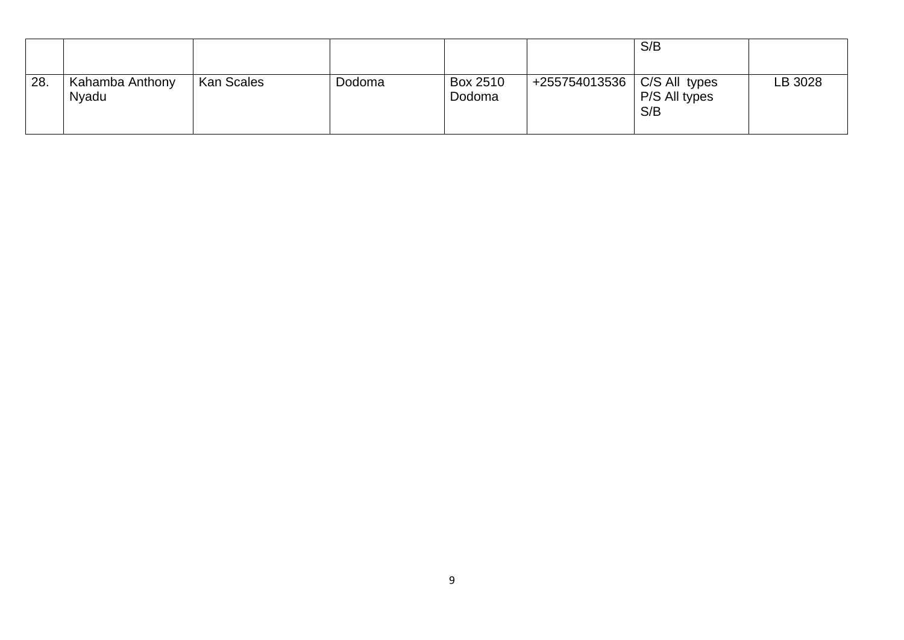|     |                          |                   |        |                    |                               | S/B                  |         |
|-----|--------------------------|-------------------|--------|--------------------|-------------------------------|----------------------|---------|
| 28. | Kahamba Anthony<br>Nyadu | <b>Kan Scales</b> | Dodoma | Box 2510<br>Dodoma | +255754013536   C/S All types | P/S All types<br>S/B | LB 3028 |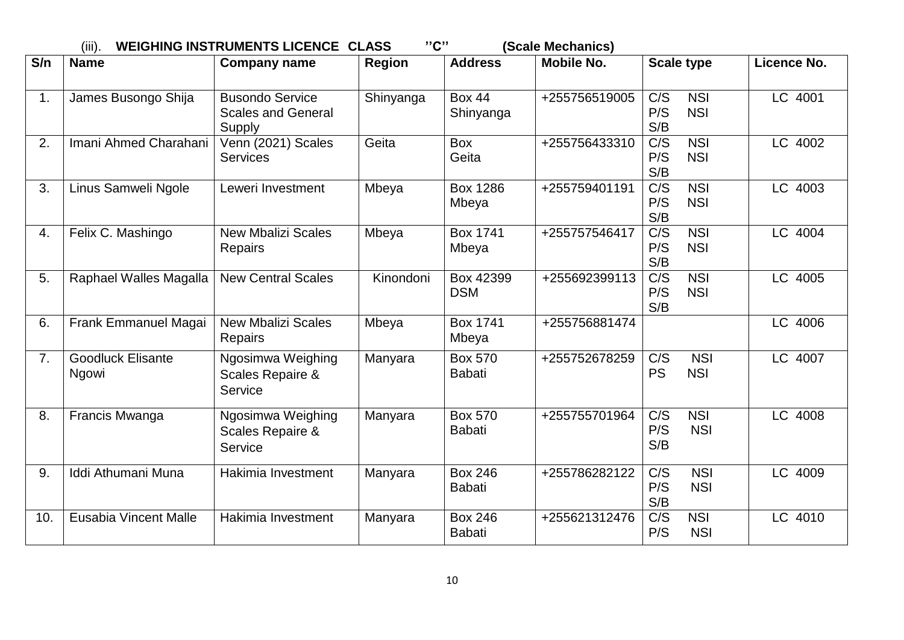|     | "C"<br>(Scale Mechanics)<br>$(iii)$ .<br><b>WEIGHING INSTRUMENTS LICENCE CLASS</b> |                                                        |               |                                 |               |                                                            |             |  |  |  |  |
|-----|------------------------------------------------------------------------------------|--------------------------------------------------------|---------------|---------------------------------|---------------|------------------------------------------------------------|-------------|--|--|--|--|
| S/n | <b>Name</b>                                                                        | <b>Company name</b>                                    | <b>Region</b> | <b>Address</b>                  | Mobile No.    | <b>Scale type</b>                                          | Licence No. |  |  |  |  |
| 1.  | James Busongo Shija                                                                | Busondo Service<br><b>Scales and General</b><br>Supply | Shinyanga     | <b>Box 44</b><br>Shinyanga      | +255756519005 | C/S<br><b>NSI</b><br>P/S<br><b>NSI</b><br>S/B              | LC 4001     |  |  |  |  |
| 2.  | Imani Ahmed Charahani                                                              | Venn (2021) Scales<br><b>Services</b>                  | Geita         | <b>Box</b><br>Geita             | +255756433310 | C/S<br><b>NSI</b><br>P/S<br><b>NSI</b><br>S/B              | LC 4002     |  |  |  |  |
| 3.  | Linus Samweli Ngole                                                                | Leweri Investment                                      | Mbeya         | <b>Box 1286</b><br>Mbeya        | +255759401191 | $\overline{C/S}$<br><b>NSI</b><br>P/S<br><b>NSI</b><br>S/B | LC 4003     |  |  |  |  |
| 4.  | Felix C. Mashingo                                                                  | <b>New Mbalizi Scales</b><br>Repairs                   | Mbeya         | <b>Box 1741</b><br>Mbeya        | +255757546417 | $\overline{C/S}$<br><b>NSI</b><br><b>NSI</b><br>P/S<br>S/B | LC 4004     |  |  |  |  |
| 5.  | Raphael Walles Magalla                                                             | <b>New Central Scales</b>                              | Kinondoni     | Box 42399<br><b>DSM</b>         | +255692399113 | C/S<br><b>NSI</b><br>P/S<br><b>NSI</b><br>S/B              | LC 4005     |  |  |  |  |
| 6.  | Frank Emmanuel Magai                                                               | <b>New Mbalizi Scales</b><br><b>Repairs</b>            | Mbeya         | <b>Box 1741</b><br>Mbeya        | +255756881474 |                                                            | LC 4006     |  |  |  |  |
| 7.  | <b>Goodluck Elisante</b><br>Ngowi                                                  | Ngosimwa Weighing<br>Scales Repaire &<br>Service       | Manyara       | <b>Box 570</b><br><b>Babati</b> | +255752678259 | C/S<br><b>NSI</b><br><b>PS</b><br><b>NSI</b>               | LC 4007     |  |  |  |  |
| 8.  | Francis Mwanga                                                                     | Ngosimwa Weighing<br>Scales Repaire &<br>Service       | Manyara       | <b>Box 570</b><br><b>Babati</b> | +255755701964 | C/S<br><b>NSI</b><br>P/S<br><b>NSI</b><br>S/B              | LC 4008     |  |  |  |  |
| 9.  | Iddi Athumani Muna                                                                 | Hakimia Investment                                     | Manyara       | <b>Box 246</b><br><b>Babati</b> | +255786282122 | C/S<br><b>NSI</b><br>P/S<br><b>NSI</b><br>S/B              | LC 4009     |  |  |  |  |
| 10. | Eusabia Vincent Malle                                                              | Hakimia Investment                                     | Manyara       | <b>Box 246</b><br><b>Babati</b> | +255621312476 | $\overline{C/S}$<br><b>NSI</b><br>P/S<br><b>NSI</b>        | LC 4010     |  |  |  |  |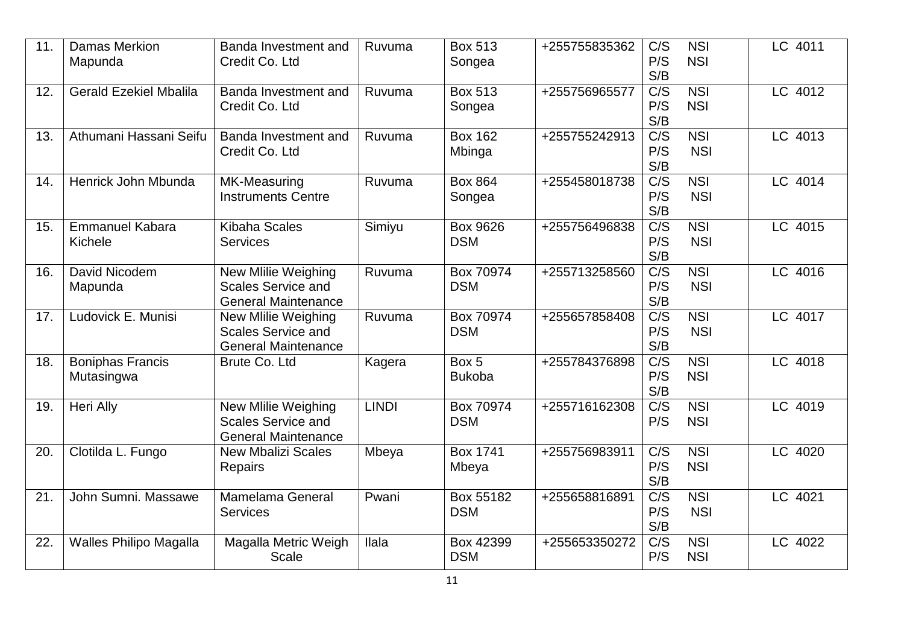| 11. | <b>Damas Merkion</b><br>Mapunda       | Banda Investment and<br>Credit Co. Ltd                                         | Ruvuma       | <b>Box 513</b><br>Songea | +255755835362 | C/S<br>P/S<br>S/B              | <b>NSI</b><br><b>NSI</b>       | LC 4011              |
|-----|---------------------------------------|--------------------------------------------------------------------------------|--------------|--------------------------|---------------|--------------------------------|--------------------------------|----------------------|
| 12. | <b>Gerald Ezekiel Mbalila</b>         | Banda Investment and<br>Credit Co. Ltd                                         | Ruvuma       | <b>Box 513</b><br>Songea | +255756965577 | C/S<br>P/S<br>S/B              | <b>NSI</b><br><b>NSI</b>       | LC 4012              |
| 13. | Athumani Hassani Seifu                | Banda Investment and<br>Credit Co. Ltd                                         | Ruvuma       | <b>Box 162</b><br>Mbinga | +255755242913 | $\overline{C/S}$<br>P/S<br>S/B | $\overline{NSI}$<br><b>NSI</b> | LC 4013              |
| 14. | Henrick John Mbunda                   | <b>MK-Measuring</b><br><b>Instruments Centre</b>                               | Ruvuma       | <b>Box 864</b><br>Songea | +255458018738 | $\overline{C/S}$<br>P/S<br>S/B | <b>NSI</b><br><b>NSI</b>       | LC 4014              |
| 15. | <b>Emmanuel Kabara</b><br>Kichele     | <b>Kibaha Scales</b><br><b>Services</b>                                        | Simiyu       | Box 9626<br><b>DSM</b>   | +255756496838 | $\overline{C/S}$<br>P/S<br>S/B | <b>NSI</b><br><b>NSI</b>       | LC 4015              |
| 16. | David Nicodem<br>Mapunda              | New Mlilie Weighing<br><b>Scales Service and</b><br><b>General Maintenance</b> | Ruvuma       | Box 70974<br><b>DSM</b>  | +255713258560 | $\overline{C/S}$<br>P/S<br>S/B | $\overline{NSI}$<br><b>NSI</b> | LC 4016              |
| 17. | Ludovick E. Munisi                    | New Mlilie Weighing<br><b>Scales Service and</b><br><b>General Maintenance</b> | Ruvuma       | Box 70974<br><b>DSM</b>  | +255657858408 | C/S<br>P/S<br>S/B              | <b>NSI</b><br><b>NSI</b>       | LC 4017              |
| 18. | <b>Boniphas Francis</b><br>Mutasingwa | Brute Co. Ltd                                                                  | Kagera       | Box 5<br><b>Bukoba</b>   | +255784376898 | $\overline{C/S}$<br>P/S<br>S/B | <b>NSI</b><br><b>NSI</b>       | LC 4018              |
| 19. | Heri Ally                             | New Mlilie Weighing<br><b>Scales Service and</b><br><b>General Maintenance</b> | <b>LINDI</b> | Box 70974<br><b>DSM</b>  | +255716162308 | C/S<br>P/S                     | $\overline{NSI}$<br><b>NSI</b> | LC 4019              |
| 20. | Clotilda L. Fungo                     | New Mbalizi Scales<br>Repairs                                                  | Mbeya        | <b>Box 1741</b><br>Mbeya | +255756983911 | $\overline{C/S}$<br>P/S<br>S/B | <b>NSI</b><br><b>NSI</b>       | $\overline{LC}$ 4020 |
| 21. | John Sumni. Massawe                   | Mamelama General<br><b>Services</b>                                            | Pwani        | Box 55182<br><b>DSM</b>  | +255658816891 | C/S<br>P/S<br>S/B              | <b>NSI</b><br><b>NSI</b>       | LC 4021              |
| 22. | <b>Walles Philipo Magalla</b>         | Magalla Metric Weigh<br><b>Scale</b>                                           | llala        | Box 42399<br><b>DSM</b>  | +255653350272 | C/S<br>P/S                     | <b>NSI</b><br><b>NSI</b>       | LC 4022              |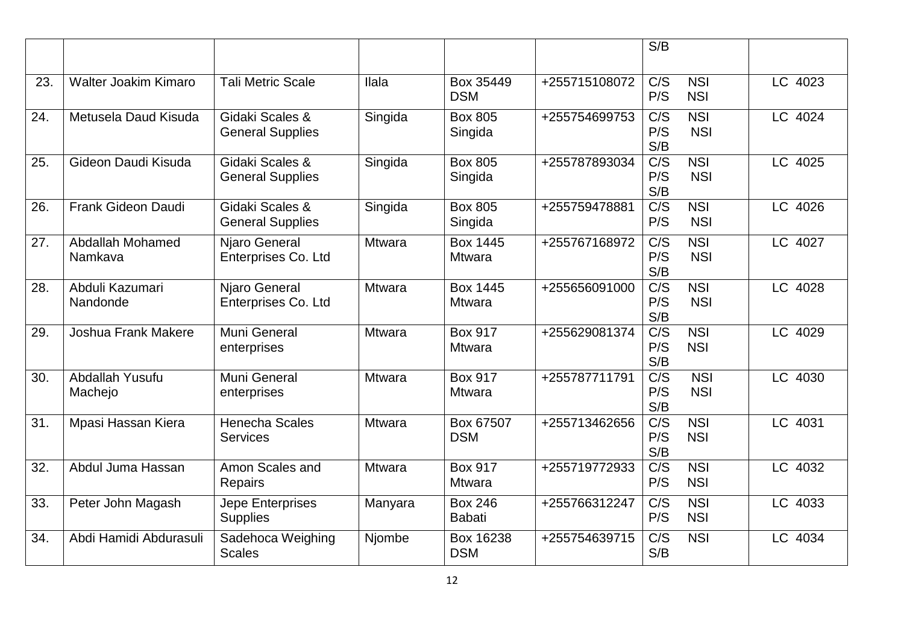|     |                             |                                            |               |                                 |               | S/B                            |                                |         |
|-----|-----------------------------|--------------------------------------------|---------------|---------------------------------|---------------|--------------------------------|--------------------------------|---------|
| 23. | <b>Walter Joakim Kimaro</b> | <b>Tali Metric Scale</b>                   | <b>Ilala</b>  | Box 35449<br><b>DSM</b>         | +255715108072 | C/S<br>P/S                     | <b>NSI</b><br><b>NSI</b>       | LC 4023 |
| 24. | Metusela Daud Kisuda        | Gidaki Scales &<br><b>General Supplies</b> | Singida       | <b>Box 805</b><br>Singida       | +255754699753 | C/S<br>P/S<br>S/B              | <b>NSI</b><br><b>NSI</b>       | LC 4024 |
| 25. | Gideon Daudi Kisuda         | Gidaki Scales &<br><b>General Supplies</b> | Singida       | <b>Box 805</b><br>Singida       | +255787893034 | $\overline{C/S}$<br>P/S<br>S/B | <b>NSI</b><br><b>NSI</b>       | LC 4025 |
| 26. | Frank Gideon Daudi          | Gidaki Scales &<br><b>General Supplies</b> | Singida       | <b>Box 805</b><br>Singida       | +255759478881 | $\overline{C/S}$<br>P/S        | <b>NSI</b><br><b>NSI</b>       | LC 4026 |
| 27. | Abdallah Mohamed<br>Namkava | Njaro General<br>Enterprises Co. Ltd       | Mtwara        | Box 1445<br><b>Mtwara</b>       | +255767168972 | $\overline{C/S}$<br>P/S<br>S/B | $\overline{NSI}$<br><b>NSI</b> | LC 4027 |
| 28. | Abduli Kazumari<br>Nandonde | Njaro General<br>Enterprises Co. Ltd       | <b>Mtwara</b> | Box 1445<br><b>Mtwara</b>       | +255656091000 | C/S<br>P/S<br>S/B              | <b>NSI</b><br><b>NSI</b>       | LC 4028 |
| 29. | Joshua Frank Makere         | Muni General<br>enterprises                | Mtwara        | <b>Box 917</b><br><b>Mtwara</b> | +255629081374 | C/S<br>P/S<br>S/B              | <b>NSI</b><br><b>NSI</b>       | LC 4029 |
| 30. | Abdallah Yusufu<br>Machejo  | Muni General<br>enterprises                | <b>Mtwara</b> | <b>Box 917</b><br><b>Mtwara</b> | +255787711791 | $\overline{C/S}$<br>P/S<br>S/B | <b>NSI</b><br><b>NSI</b>       | LC 4030 |
| 31. | Mpasi Hassan Kiera          | Henecha Scales<br><b>Services</b>          | <b>Mtwara</b> | Box 67507<br><b>DSM</b>         | +255713462656 | $\overline{C/S}$<br>P/S<br>S/B | <b>NSI</b><br><b>NSI</b>       | LC 4031 |
| 32. | Abdul Juma Hassan           | Amon Scales and<br>Repairs                 | Mtwara        | <b>Box 917</b><br><b>Mtwara</b> | +255719772933 | $\overline{C/S}$<br>P/S        | <b>NSI</b><br><b>NSI</b>       | LC 4032 |
| 33. | Peter John Magash           | Jepe Enterprises<br><b>Supplies</b>        | Manyara       | <b>Box 246</b><br><b>Babati</b> | +255766312247 | C/S<br>P/S                     | <b>NSI</b><br><b>NSI</b>       | LC 4033 |
| 34. | Abdi Hamidi Abdurasuli      | Sadehoca Weighing<br><b>Scales</b>         | Njombe        | Box 16238<br><b>DSM</b>         | +255754639715 | C/S<br>S/B                     | <b>NSI</b>                     | LC 4034 |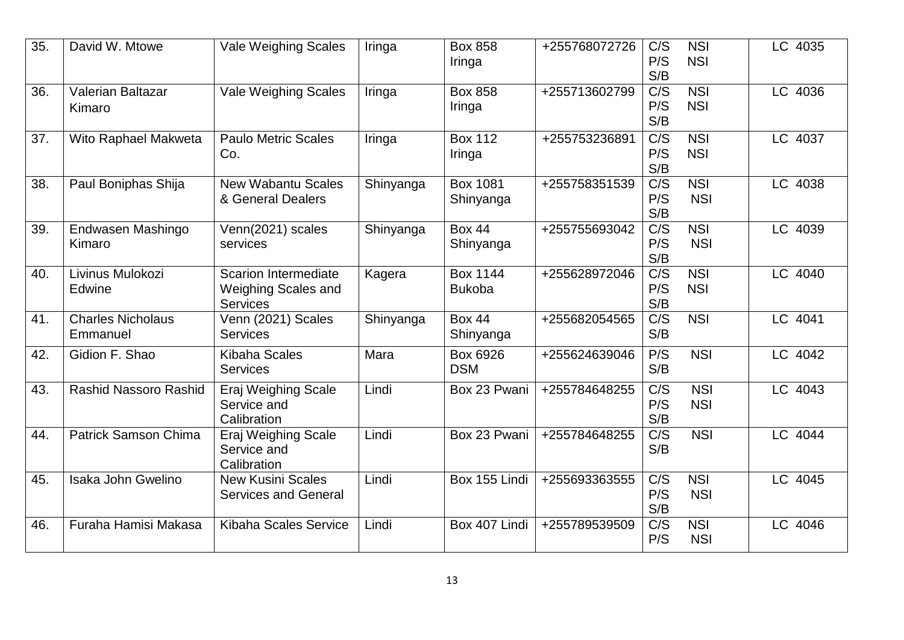| 35.               | David W. Mtowe                       | <b>Vale Weighing Scales</b>                                                  | Iringa    | <b>Box 858</b><br>Iringa         | +255768072726 | C/S<br>P/S<br>S/B              | <b>NSI</b><br><b>NSI</b> | LC 4035   |
|-------------------|--------------------------------------|------------------------------------------------------------------------------|-----------|----------------------------------|---------------|--------------------------------|--------------------------|-----------|
| 36.               | Valerian Baltazar<br>Kimaro          | <b>Vale Weighing Scales</b>                                                  | Iringa    | <b>Box 858</b><br>Iringa         | +255713602799 | C/S<br>P/S<br>S/B              | <b>NSI</b><br><b>NSI</b> | LC 4036   |
| $\overline{37}$ . | Wito Raphael Makweta                 | <b>Paulo Metric Scales</b><br>Co.                                            | Iringa    | <b>Box 112</b><br>Iringa         | +255753236891 | C/S<br>P/S<br>S/B              | <b>NSI</b><br><b>NSI</b> | LC 4037   |
| 38.               | Paul Boniphas Shija                  | <b>New Wabantu Scales</b><br>& General Dealers                               | Shinyanga | <b>Box 1081</b><br>Shinyanga     | +255758351539 | C/S<br>P/S<br>S/B              | <b>NSI</b><br><b>NSI</b> | LC 4038   |
| 39.               | Endwasen Mashingo<br>Kimaro          | Venn(2021) scales<br>services                                                | Shinyanga | <b>Box 44</b><br>Shinyanga       | +255755693042 | $\overline{C/S}$<br>P/S<br>S/B | <b>NSI</b><br><b>NSI</b> | LC 4039   |
| 40.               | Livinus Mulokozi<br>Edwine           | <b>Scarion Intermediate</b><br><b>Weighing Scales and</b><br><b>Services</b> | Kagera    | <b>Box 1144</b><br><b>Bukoba</b> | +255628972046 | C/S<br>P/S<br>S/B              | <b>NSI</b><br><b>NSI</b> | LC 4040   |
| 41.               | <b>Charles Nicholaus</b><br>Emmanuel | Venn (2021) Scales<br><b>Services</b>                                        | Shinyanga | <b>Box 44</b><br>Shinyanga       | +255682054565 | $\overline{C/S}$<br>S/B        | <b>NSI</b>               | $LC$ 4041 |
| 42.               | Gidion F. Shao                       | <b>Kibaha Scales</b><br><b>Services</b>                                      | Mara      | Box 6926<br><b>DSM</b>           | +255624639046 | P/S<br>S/B                     | <b>NSI</b>               | LC 4042   |
| 43.               | Rashid Nassoro Rashid                | Eraj Weighing Scale<br>Service and<br>Calibration                            | Lindi     | Box 23 Pwani                     | +255784648255 | C/S<br>P/S<br>S/B              | <b>NSI</b><br><b>NSI</b> | LC 4043   |
| 44.               | <b>Patrick Samson Chima</b>          | Eraj Weighing Scale<br>Service and<br>Calibration                            | Lindi     | Box 23 Pwani                     | +255784648255 | $\overline{C/S}$<br>S/B        | <b>NSI</b>               | LC 4044   |
| 45.               | Isaka John Gwelino                   | <b>New Kusini Scales</b><br><b>Services and General</b>                      | Lindi     | Box 155 Lindi                    | +255693363555 | C/S<br>P/S<br>S/B              | <b>NSI</b><br><b>NSI</b> | LC 4045   |
| 46.               | Furaha Hamisi Makasa                 | <b>Kibaha Scales Service</b>                                                 | Lindi     | Box 407 Lindi                    | +255789539509 | C/S<br>P/S                     | <b>NSI</b><br><b>NSI</b> | LC 4046   |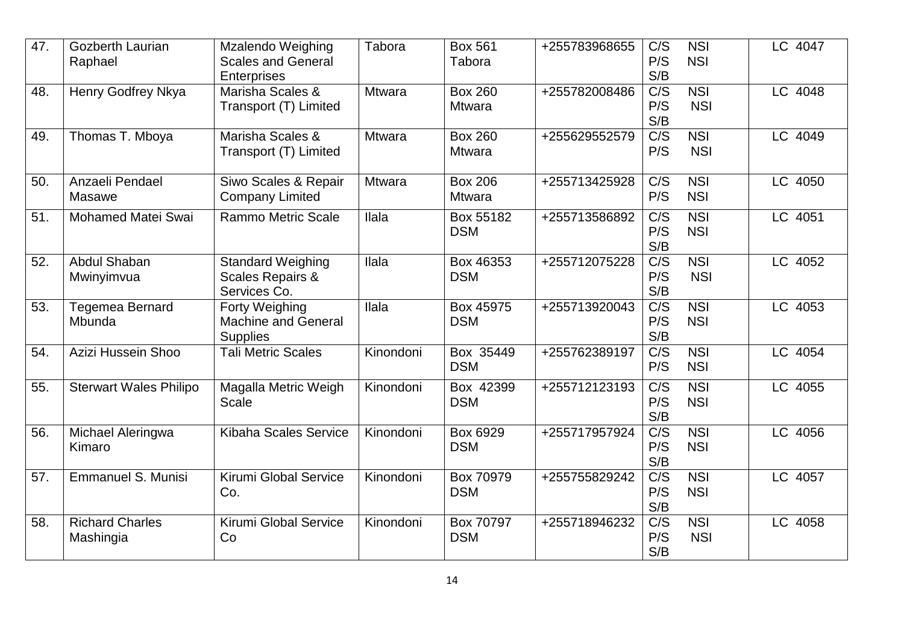| 47. | Gozberth Laurian<br>Raphael         | <b>Mzalendo Weighing</b><br><b>Scales and General</b><br><b>Enterprises</b> | Tabora        | <b>Box 561</b><br>Tabora        | +255783968655 | C/S<br>P/S<br>S/B              | <b>NSI</b><br><b>NSI</b> | LC 4047              |
|-----|-------------------------------------|-----------------------------------------------------------------------------|---------------|---------------------------------|---------------|--------------------------------|--------------------------|----------------------|
| 48. | Henry Godfrey Nkya                  | Marisha Scales &<br>Transport (T) Limited                                   | Mtwara        | <b>Box 260</b><br><b>Mtwara</b> | +255782008486 | C/S<br>P/S<br>S/B              | <b>NSI</b><br><b>NSI</b> | LC 4048              |
| 49. | Thomas T. Mboya                     | Marisha Scales &<br>Transport (T) Limited                                   | <b>Mtwara</b> | <b>Box 260</b><br>Mtwara        | +255629552579 | C/S<br>P/S                     | <b>NSI</b><br><b>NSI</b> | LC 4049              |
| 50. | Anzaeli Pendael<br>Masawe           | Siwo Scales & Repair<br><b>Company Limited</b>                              | <b>Mtwara</b> | <b>Box 206</b><br><b>Mtwara</b> | +255713425928 | C/S<br>P/S                     | <b>NSI</b><br><b>NSI</b> | LC 4050              |
| 51. | <b>Mohamed Matei Swai</b>           | <b>Rammo Metric Scale</b>                                                   | Ilala         | Box 55182<br><b>DSM</b>         | +255713586892 | C/S<br>P/S<br>S/B              | <b>NSI</b><br><b>NSI</b> | LC 4051              |
| 52. | Abdul Shaban<br>Mwinyimvua          | <b>Standard Weighing</b><br>Scales Repairs &<br>Services Co.                | Ilala         | Box 46353<br><b>DSM</b>         | +255712075228 | C/S<br>P/S<br>S/B              | <b>NSI</b><br><b>NSI</b> | LC 4052              |
| 53. | <b>Tegemea Bernard</b><br>Mbunda    | <b>Forty Weighing</b><br><b>Machine and General</b><br><b>Supplies</b>      | Ilala         | Box 45975<br><b>DSM</b>         | +255713920043 | $\overline{C/S}$<br>P/S<br>S/B | <b>NSI</b><br><b>NSI</b> | LC 4053              |
| 54. | Azizi Hussein Shoo                  | <b>Tali Metric Scales</b>                                                   | Kinondoni     | Box 35449<br><b>DSM</b>         | +255762389197 | $\overline{C/S}$<br>P/S        | NSI<br><b>NSI</b>        | LC 4054              |
| 55. | <b>Sterwart Wales Philipo</b>       | Magalla Metric Weigh<br><b>Scale</b>                                        | Kinondoni     | Box 42399<br><b>DSM</b>         | +255712123193 | C/S<br>P/S<br>S/B              | <b>NSI</b><br><b>NSI</b> | LC 4055              |
| 56. | Michael Aleringwa<br>Kimaro         | Kibaha Scales Service                                                       | Kinondoni     | Box 6929<br><b>DSM</b>          | +255717957924 | C/S<br>P/S<br>S/B              | <b>NSI</b><br><b>NSI</b> | $\overline{LC}$ 4056 |
| 57. | Emmanuel S. Munisi                  | Kirumi Global Service<br>Co.                                                | Kinondoni     | Box 70979<br><b>DSM</b>         | +255755829242 | $\overline{C/S}$<br>P/S<br>S/B | <b>NSI</b><br><b>NSI</b> | LC 4057              |
| 58. | <b>Richard Charles</b><br>Mashingia | Kirumi Global Service<br>Co                                                 | Kinondoni     | Box 70797<br><b>DSM</b>         | +255718946232 | $\overline{C/S}$<br>P/S<br>S/B | <b>NSI</b><br><b>NSI</b> | LC 4058              |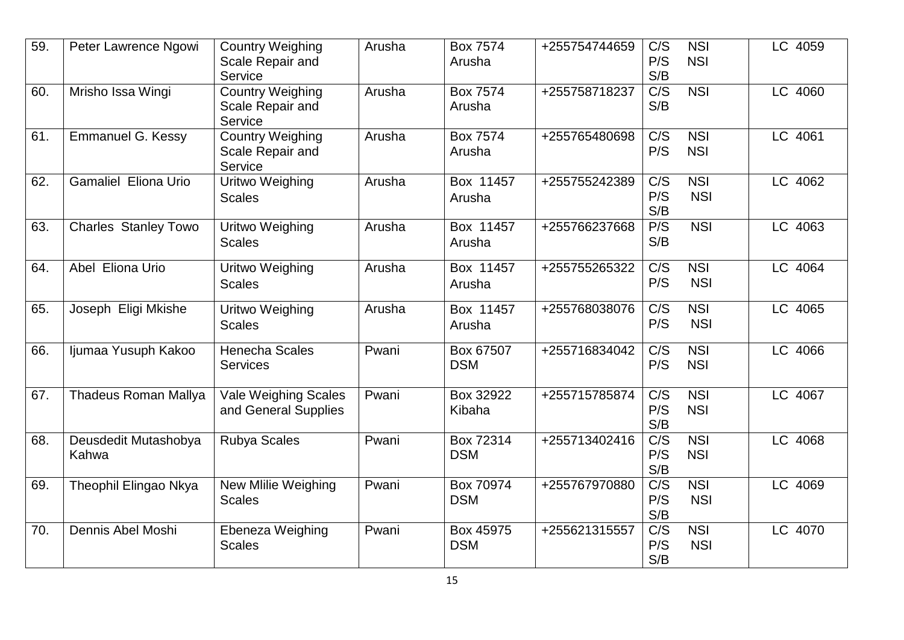| 59. | Peter Lawrence Ngowi          | <b>Country Weighing</b><br>Scale Repair and<br>Service | Arusha | Box 7574<br>Arusha        | +255754744659 | C/S<br>P/S<br>S/B              | <b>NSI</b><br><b>NSI</b> | LC 4059 |
|-----|-------------------------------|--------------------------------------------------------|--------|---------------------------|---------------|--------------------------------|--------------------------|---------|
| 60. | Mrisho Issa Wingi             | <b>Country Weighing</b><br>Scale Repair and<br>Service | Arusha | <b>Box 7574</b><br>Arusha | +255758718237 | C/S<br>S/B                     | <b>NSI</b>               | LC 4060 |
| 61. | <b>Emmanuel G. Kessy</b>      | <b>Country Weighing</b><br>Scale Repair and<br>Service | Arusha | <b>Box 7574</b><br>Arusha | +255765480698 | $\overline{C/S}$<br>P/S        | <b>NSI</b><br><b>NSI</b> | LC 4061 |
| 62. | <b>Gamaliel Eliona Urio</b>   | Uritwo Weighing<br><b>Scales</b>                       | Arusha | Box 11457<br>Arusha       | +255755242389 | C/S<br>P/S<br>S/B              | <b>NSI</b><br><b>NSI</b> | LC 4062 |
| 63. | <b>Charles Stanley Towo</b>   | Uritwo Weighing<br><b>Scales</b>                       | Arusha | Box 11457<br>Arusha       | +255766237668 | P/S<br>S/B                     | <b>NSI</b>               | LC 4063 |
| 64. | Abel Eliona Urio              | Uritwo Weighing<br><b>Scales</b>                       | Arusha | Box 11457<br>Arusha       | +255755265322 | $\overline{C/S}$<br>P/S        | <b>NSI</b><br><b>NSI</b> | LC 4064 |
| 65. | Joseph Eligi Mkishe           | <b>Uritwo Weighing</b><br><b>Scales</b>                | Arusha | Box 11457<br>Arusha       | +255768038076 | C/S<br>P/S                     | <b>NSI</b><br><b>NSI</b> | LC 4065 |
| 66. | Ijumaa Yusuph Kakoo           | <b>Henecha Scales</b><br><b>Services</b>               | Pwani  | Box 67507<br><b>DSM</b>   | +255716834042 | C/S<br>P/S                     | <b>NSI</b><br><b>NSI</b> | LC 4066 |
| 67. | <b>Thadeus Roman Mallya</b>   | <b>Vale Weighing Scales</b><br>and General Supplies    | Pwani  | Box 32922<br>Kibaha       | +255715785874 | C/S<br>P/S<br>S/B              | <b>NSI</b><br><b>NSI</b> | LC 4067 |
| 68. | Deusdedit Mutashobya<br>Kahwa | <b>Rubya Scales</b>                                    | Pwani  | Box 72314<br><b>DSM</b>   | +255713402416 | $\overline{C/S}$<br>P/S<br>S/B | NSI<br><b>NSI</b>        | LC 4068 |
| 69. | Theophil Elingao Nkya         | New Mlilie Weighing<br><b>Scales</b>                   | Pwani  | Box 70974<br><b>DSM</b>   | +255767970880 | C/S<br>P/S<br>S/B              | <b>NSI</b><br><b>NSI</b> | LC 4069 |
| 70. | Dennis Abel Moshi             | Ebeneza Weighing<br><b>Scales</b>                      | Pwani  | Box 45975<br><b>DSM</b>   | +255621315557 | C/S<br>P/S<br>S/B              | <b>NSI</b><br><b>NSI</b> | LC 4070 |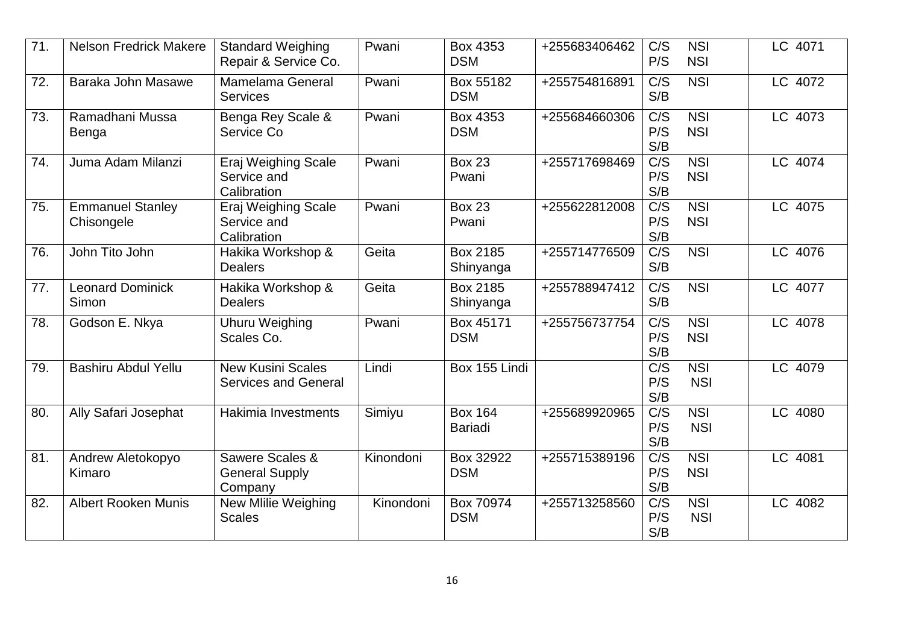| $\overline{71}$ . | <b>Nelson Fredrick Makere</b>         | <b>Standard Weighing</b><br>Repair & Service Co.        | Pwani     | Box 4353<br><b>DSM</b>           | +255683406462 | C/S<br>P/S                     | <b>NSI</b><br><b>NSI</b> | LC 4071 |
|-------------------|---------------------------------------|---------------------------------------------------------|-----------|----------------------------------|---------------|--------------------------------|--------------------------|---------|
| 72.               | Baraka John Masawe                    | <b>Mamelama General</b><br><b>Services</b>              | Pwani     | Box 55182<br><b>DSM</b>          | +255754816891 | C/S<br>S/B                     | <b>NSI</b>               | LC 4072 |
| 73.               | Ramadhani Mussa<br>Benga              | Benga Rey Scale &<br>Service Co                         | Pwani     | Box 4353<br><b>DSM</b>           | +255684660306 | C/S<br>P/S<br>S/B              | <b>NSI</b><br><b>NSI</b> | LC 4073 |
| 74.               | Juma Adam Milanzi                     | Eraj Weighing Scale<br>Service and<br>Calibration       | Pwani     | <b>Box 23</b><br>Pwani           | +255717698469 | C/S<br>P/S<br>S/B              | <b>NSI</b><br><b>NSI</b> | LC 4074 |
| 75.               | <b>Emmanuel Stanley</b><br>Chisongele | Eraj Weighing Scale<br>Service and<br>Calibration       | Pwani     | <b>Box 23</b><br>Pwani           | +255622812008 | C/S<br>P/S<br>S/B              | <b>NSI</b><br><b>NSI</b> | LC 4075 |
| 76.               | John Tito John                        | Hakika Workshop &<br><b>Dealers</b>                     | Geita     | Box 2185<br>Shinyanga            | +255714776509 | $\overline{C/S}$<br>S/B        | $\overline{NSI}$         | LC 4076 |
| 77.               | <b>Leonard Dominick</b><br>Simon      | Hakika Workshop &<br><b>Dealers</b>                     | Geita     | Box 2185<br>Shinyanga            | +255788947412 | C/S<br>S/B                     | <b>NSI</b>               | LC 4077 |
| 78.               | Godson E. Nkya                        | <b>Uhuru Weighing</b><br>Scales Co.                     | Pwani     | Box 45171<br><b>DSM</b>          | +255756737754 | C/S<br>P/S<br>S/B              | <b>NSI</b><br><b>NSI</b> | LC 4078 |
| 79.               | <b>Bashiru Abdul Yellu</b>            | <b>New Kusini Scales</b><br><b>Services and General</b> | Lindi     | Box 155 Lindi                    |               | $\overline{C/S}$<br>P/S<br>S/B | NSI<br><b>NSI</b>        | LC 4079 |
| 80.               | Ally Safari Josephat                  | Hakimia Investments                                     | Simiyu    | <b>Box 164</b><br><b>Bariadi</b> | +255689920965 | $\overline{C/S}$<br>P/S<br>S/B | <b>NSI</b><br><b>NSI</b> | LC 4080 |
| 81.               | Andrew Aletokopyo<br>Kimaro           | Sawere Scales &<br><b>General Supply</b><br>Company     | Kinondoni | Box 32922<br><b>DSM</b>          | +255715389196 | $\overline{C/S}$<br>P/S<br>S/B | <b>NSI</b><br><b>NSI</b> | LC 4081 |
| 82.               | <b>Albert Rooken Munis</b>            | New Mlilie Weighing<br><b>Scales</b>                    | Kinondoni | Box 70974<br><b>DSM</b>          | +255713258560 | $\overline{C/S}$<br>P/S<br>S/B | NSI<br><b>NSI</b>        | LC 4082 |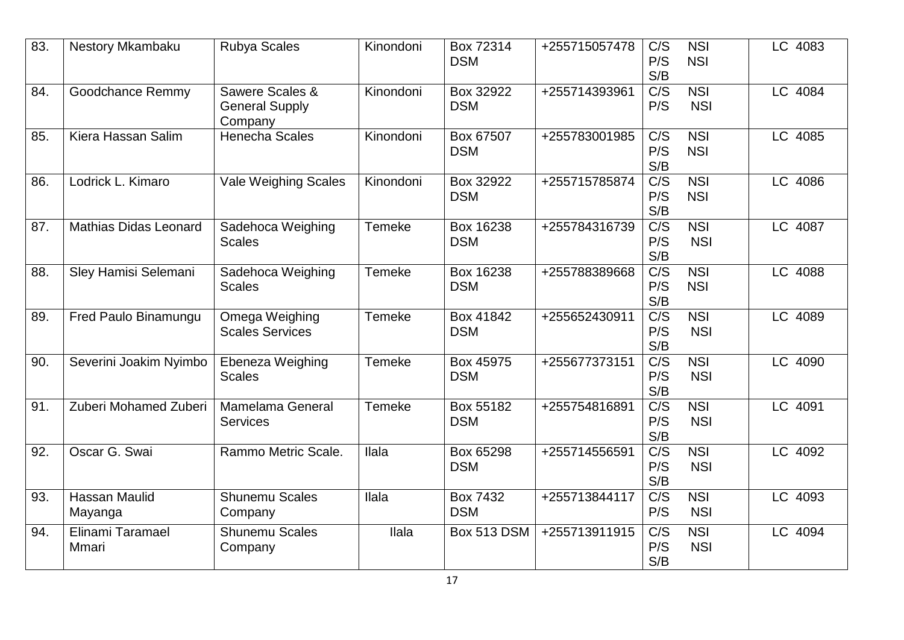| 83. | Nestory Mkambaku             | <b>Rubya Scales</b>                                 | Kinondoni     | Box 72314<br><b>DSM</b>       | +255715057478 | C/S<br>P/S<br>S/B              | <b>NSI</b><br><b>NSI</b>       | LC 4083 |
|-----|------------------------------|-----------------------------------------------------|---------------|-------------------------------|---------------|--------------------------------|--------------------------------|---------|
| 84. | Goodchance Remmy             | Sawere Scales &<br><b>General Supply</b><br>Company | Kinondoni     | Box 32922<br><b>DSM</b>       | +255714393961 | C/S<br>P/S                     | <b>NSI</b><br><b>NSI</b>       | LC 4084 |
| 85. | Kiera Hassan Salim           | <b>Henecha Scales</b>                               | Kinondoni     | Box 67507<br><b>DSM</b>       | +255783001985 | C/S<br>P/S<br>S/B              | <b>NSI</b><br><b>NSI</b>       | LC 4085 |
| 86. | Lodrick L. Kimaro            | <b>Vale Weighing Scales</b>                         | Kinondoni     | Box 32922<br><b>DSM</b>       | +255715785874 | $\overline{C/S}$<br>P/S<br>S/B | <b>NSI</b><br><b>NSI</b>       | LC 4086 |
| 87. | <b>Mathias Didas Leonard</b> | Sadehoca Weighing<br><b>Scales</b>                  | Temeke        | Box 16238<br><b>DSM</b>       | +255784316739 | $\overline{C/S}$<br>P/S<br>S/B | $\overline{NSI}$<br><b>NSI</b> | LC 4087 |
| 88. | Sley Hamisi Selemani         | Sadehoca Weighing<br><b>Scales</b>                  | <b>Temeke</b> | Box 16238<br><b>DSM</b>       | +255788389668 | $\overline{C/S}$<br>P/S<br>S/B | $\overline{NSI}$<br><b>NSI</b> | LC 4088 |
| 89. | Fred Paulo Binamungu         | Omega Weighing<br><b>Scales Services</b>            | <b>Temeke</b> | Box 41842<br><b>DSM</b>       | +255652430911 | C/S<br>P/S<br>S/B              | <b>NSI</b><br><b>NSI</b>       | LC 4089 |
| 90. | Severini Joakim Nyimbo       | Ebeneza Weighing<br><b>Scales</b>                   | <b>Temeke</b> | Box 45975<br><b>DSM</b>       | +255677373151 | C/S<br>P/S<br>S/B              | <b>NSI</b><br><b>NSI</b>       | LC 4090 |
| 91. | Zuberi Mohamed Zuberi        | <b>Mamelama General</b><br><b>Services</b>          | <b>Temeke</b> | Box 55182<br><b>DSM</b>       | +255754816891 | $\overline{C/S}$<br>P/S<br>S/B | $\overline{NSI}$<br><b>NSI</b> | LC 4091 |
| 92. | Oscar G. Swai                | Rammo Metric Scale.                                 | Ilala         | Box 65298<br><b>DSM</b>       | +255714556591 | C/S<br>P/S<br>S/B              | <b>NSI</b><br><b>NSI</b>       | LC 4092 |
| 93. | Hassan Maulid<br>Mayanga     | <b>Shunemu Scales</b><br>Company                    | Ilala         | <b>Box 7432</b><br><b>DSM</b> | +255713844117 | C/S<br>P/S                     | <b>NSI</b><br><b>NSI</b>       | LC 4093 |
| 94. | Elinami Taramael<br>Mmari    | <b>Shunemu Scales</b><br>Company                    | Ilala         | <b>Box 513 DSM</b>            | +255713911915 | C/S<br>P/S<br>S/B              | <b>NSI</b><br><b>NSI</b>       | LC 4094 |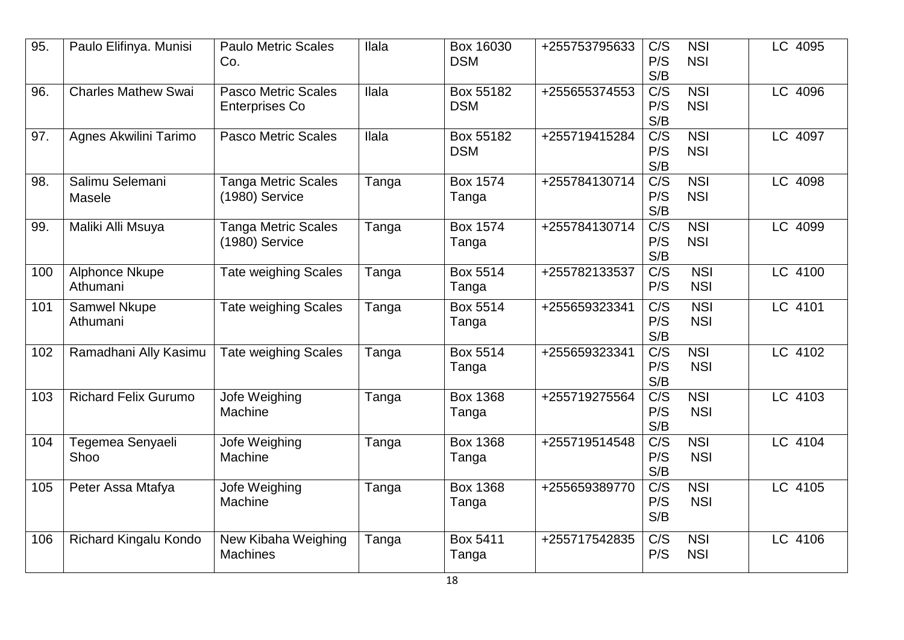| 95. | Paulo Elifinya. Munisi            | <b>Paulo Metric Scales</b><br>Co.                   | llala        | Box 16030<br><b>DSM</b>  | +255753795633 | C/S<br>P/S<br>S/B              | <b>NSI</b><br><b>NSI</b>       | LC 4095 |
|-----|-----------------------------------|-----------------------------------------------------|--------------|--------------------------|---------------|--------------------------------|--------------------------------|---------|
| 96. | <b>Charles Mathew Swai</b>        | <b>Pasco Metric Scales</b><br><b>Enterprises Co</b> | <b>Ilala</b> | Box 55182<br><b>DSM</b>  | +255655374553 | C/S<br>P/S<br>S/B              | <b>NSI</b><br><b>NSI</b>       | LC 4096 |
| 97. | Agnes Akwilini Tarimo             | <b>Pasco Metric Scales</b>                          | <b>Ilala</b> | Box 55182<br><b>DSM</b>  | +255719415284 | $\overline{C/S}$<br>P/S<br>S/B | <b>NSI</b><br><b>NSI</b>       | LC 4097 |
| 98. | Salimu Selemani<br>Masele         | <b>Tanga Metric Scales</b><br>(1980) Service        | Tanga        | <b>Box 1574</b><br>Tanga | +255784130714 | $\overline{C/S}$<br>P/S<br>S/B | <b>NSI</b><br><b>NSI</b>       | LC 4098 |
| 99. | Maliki Alli Msuya                 | <b>Tanga Metric Scales</b><br>(1980) Service        | Tanga        | <b>Box 1574</b><br>Tanga | +255784130714 | C/S<br>P/S<br>S/B              | <b>NSI</b><br><b>NSI</b>       | LC 4099 |
| 100 | <b>Alphonce Nkupe</b><br>Athumani | <b>Tate weighing Scales</b>                         | Tanga        | Box 5514<br>Tanga        | +255782133537 | $\overline{C/S}$<br>P/S        | <b>NSI</b><br><b>NSI</b>       | LC 4100 |
| 101 | Samwel Nkupe<br>Athumani          | <b>Tate weighing Scales</b>                         | Tanga        | Box 5514<br>Tanga        | +255659323341 | C/S<br>P/S<br>S/B              | <b>NSI</b><br><b>NSI</b>       | LC 4101 |
| 102 | Ramadhani Ally Kasimu             | <b>Tate weighing Scales</b>                         | Tanga        | <b>Box 5514</b><br>Tanga | +255659323341 | $\overline{C/S}$<br>P/S<br>S/B | <b>NSI</b><br><b>NSI</b>       | LC 4102 |
| 103 | <b>Richard Felix Gurumo</b>       | Jofe Weighing<br>Machine                            | Tanga        | <b>Box 1368</b><br>Tanga | +255719275564 | C/S<br>P/S<br>S/B              | <b>NSI</b><br><b>NSI</b>       | LC 4103 |
| 104 | Tegemea Senyaeli<br>Shoo          | Jofe Weighing<br>Machine                            | Tanga        | <b>Box 1368</b><br>Tanga | +255719514548 | C/S<br>P/S<br>S/B              | <b>NSI</b><br><b>NSI</b>       | LC 4104 |
| 105 | Peter Assa Mtafya                 | Jofe Weighing<br>Machine                            | Tanga        | <b>Box 1368</b><br>Tanga | +255659389770 | $\overline{C/S}$<br>P/S<br>S/B | $\overline{NSI}$<br><b>NSI</b> | LC 4105 |
| 106 | Richard Kingalu Kondo             | New Kibaha Weighing<br><b>Machines</b>              | Tanga        | Box 5411<br>Tanga        | +255717542835 | C/S<br>P/S                     | <b>NSI</b><br><b>NSI</b>       | LC 4106 |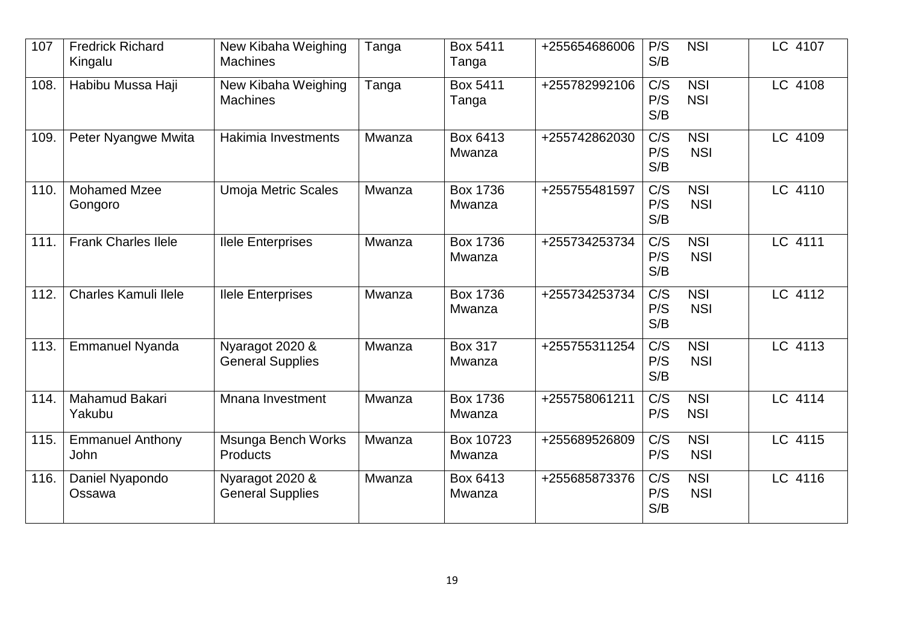| 107  | <b>Fredrick Richard</b><br>Kingalu | New Kibaha Weighing<br><b>Machines</b>     | Tanga  | Box 5411<br>Tanga         | +255654686006 | P/S<br>S/B              | <b>NSI</b>               | LC 4107 |
|------|------------------------------------|--------------------------------------------|--------|---------------------------|---------------|-------------------------|--------------------------|---------|
| 108. | Habibu Mussa Haji                  | New Kibaha Weighing<br><b>Machines</b>     | Tanga  | Box 5411<br>Tanga         | +255782992106 | C/S<br>P/S<br>S/B       | <b>NSI</b><br><b>NSI</b> | LC 4108 |
| 109. | Peter Nyangwe Mwita                | Hakimia Investments                        | Mwanza | Box 6413<br>Mwanza        | +255742862030 | C/S<br>P/S<br>S/B       | <b>NSI</b><br><b>NSI</b> | LC 4109 |
| 110. | <b>Mohamed Mzee</b><br>Gongoro     | <b>Umoja Metric Scales</b>                 | Mwanza | Box 1736<br>Mwanza        | +255755481597 | C/S<br>P/S<br>S/B       | <b>NSI</b><br><b>NSI</b> | LC 4110 |
| 111. | <b>Frank Charles Ilele</b>         | <b>Ilele Enterprises</b>                   | Mwanza | <b>Box 1736</b><br>Mwanza | +255734253734 | C/S<br>P/S<br>S/B       | <b>NSI</b><br><b>NSI</b> | LC 4111 |
| 112. | <b>Charles Kamuli Ilele</b>        | <b>Ilele Enterprises</b>                   | Mwanza | Box 1736<br>Mwanza        | +255734253734 | C/S<br>P/S<br>S/B       | <b>NSI</b><br><b>NSI</b> | LC 4112 |
| 113. | <b>Emmanuel Nyanda</b>             | Nyaragot 2020 &<br><b>General Supplies</b> | Mwanza | <b>Box 317</b><br>Mwanza  | +255755311254 | C/S<br>P/S<br>S/B       | <b>NSI</b><br><b>NSI</b> | LC 4113 |
| 114. | Mahamud Bakari<br>Yakubu           | Mnana Investment                           | Mwanza | <b>Box 1736</b><br>Mwanza | +255758061211 | C/S<br>P/S              | <b>NSI</b><br><b>NSI</b> | LC 4114 |
| 115. | <b>Emmanuel Anthony</b><br>John    | Msunga Bench Works<br>Products             | Mwanza | Box 10723<br>Mwanza       | +255689526809 | $\overline{C/S}$<br>P/S | <b>NSI</b><br><b>NSI</b> | LC 4115 |
| 116. | Daniel Nyapondo<br>Ossawa          | Nyaragot 2020 &<br><b>General Supplies</b> | Mwanza | Box 6413<br>Mwanza        | +255685873376 | C/S<br>P/S<br>S/B       | <b>NSI</b><br><b>NSI</b> | LC 4116 |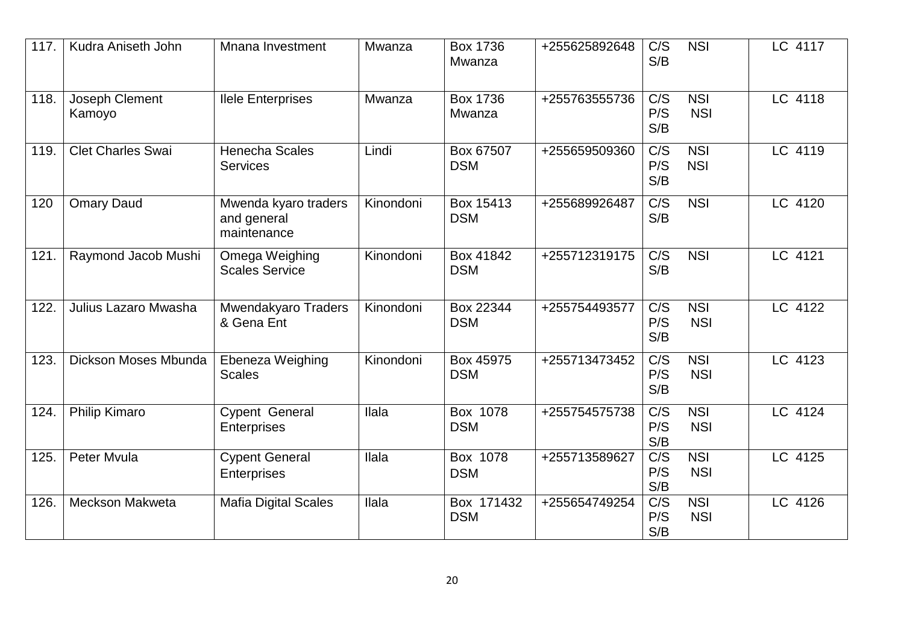| 117. | Kudra Aniseth John       | Mnana Investment                                   | Mwanza       | <b>Box 1736</b><br>Mwanza | +255625892648 | C/S<br>S/B        | <b>NSI</b>               | LC 4117 |
|------|--------------------------|----------------------------------------------------|--------------|---------------------------|---------------|-------------------|--------------------------|---------|
| 118. | Joseph Clement<br>Kamoyo | <b>Ilele Enterprises</b>                           | Mwanza       | <b>Box 1736</b><br>Mwanza | +255763555736 | C/S<br>P/S<br>S/B | <b>NSI</b><br><b>NSI</b> | LC 4118 |
| 119. | <b>Clet Charles Swai</b> | <b>Henecha Scales</b><br><b>Services</b>           | Lindi        | Box 67507<br><b>DSM</b>   | +255659509360 | C/S<br>P/S<br>S/B | <b>NSI</b><br><b>NSI</b> | LC 4119 |
| 120  | <b>Omary Daud</b>        | Mwenda kyaro traders<br>and general<br>maintenance | Kinondoni    | Box 15413<br><b>DSM</b>   | +255689926487 | C/S<br>S/B        | <b>NSI</b>               | LC 4120 |
| 121. | Raymond Jacob Mushi      | Omega Weighing<br><b>Scales Service</b>            | Kinondoni    | Box 41842<br><b>DSM</b>   | +255712319175 | C/S<br>S/B        | <b>NSI</b>               | LC 4121 |
| 122. | Julius Lazaro Mwasha     | Mwendakyaro Traders<br>& Gena Ent                  | Kinondoni    | Box 22344<br><b>DSM</b>   | +255754493577 | C/S<br>P/S<br>S/B | <b>NSI</b><br><b>NSI</b> | LC 4122 |
| 123. | Dickson Moses Mbunda     | Ebeneza Weighing<br><b>Scales</b>                  | Kinondoni    | Box 45975<br><b>DSM</b>   | +255713473452 | C/S<br>P/S<br>S/B | <b>NSI</b><br><b>NSI</b> | LC 4123 |
| 124. | Philip Kimaro            | <b>Cypent General</b><br><b>Enterprises</b>        | <b>Ilala</b> | Box 1078<br><b>DSM</b>    | +255754575738 | C/S<br>P/S<br>S/B | <b>NSI</b><br><b>NSI</b> | LC 4124 |
| 125. | Peter Mvula              | <b>Cypent General</b><br>Enterprises               | llala        | Box 1078<br><b>DSM</b>    | +255713589627 | C/S<br>P/S<br>S/B | <b>NSI</b><br><b>NSI</b> | LC 4125 |
| 126. | <b>Meckson Makweta</b>   | <b>Mafia Digital Scales</b>                        | Ilala        | Box 171432<br><b>DSM</b>  | +255654749254 | C/S<br>P/S<br>S/B | <b>NSI</b><br><b>NSI</b> | LC 4126 |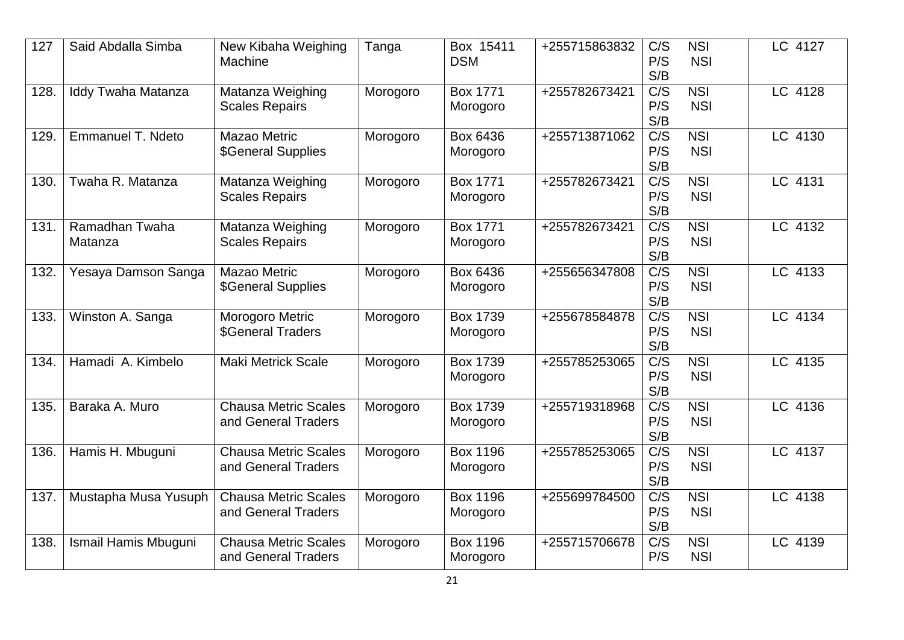| 127  | Said Abdalla Simba        | New Kibaha Weighing<br>Machine                     | Tanga    | Box 15411<br><b>DSM</b>     | +255715863832 | C/S<br>P/S<br>S/B              | <b>NSI</b><br><b>NSI</b>       | LC 4127 |
|------|---------------------------|----------------------------------------------------|----------|-----------------------------|---------------|--------------------------------|--------------------------------|---------|
| 128. | Iddy Twaha Matanza        | Matanza Weighing<br><b>Scales Repairs</b>          | Morogoro | <b>Box 1771</b><br>Morogoro | +255782673421 | C/S<br>P/S<br>S/B              | <b>NSI</b><br><b>NSI</b>       | LC 4128 |
| 129. | <b>Emmanuel T. Ndeto</b>  | Mazao Metric<br>\$General Supplies                 | Morogoro | Box 6436<br>Morogoro        | +255713871062 | $\overline{C/S}$<br>P/S<br>S/B | <b>NSI</b><br><b>NSI</b>       | LC 4130 |
| 130. | Twaha R. Matanza          | Matanza Weighing<br><b>Scales Repairs</b>          | Morogoro | <b>Box 1771</b><br>Morogoro | +255782673421 | C/S<br>P/S<br>S/B              | <b>NSI</b><br><b>NSI</b>       | LC 4131 |
| 131. | Ramadhan Twaha<br>Matanza | Matanza Weighing<br><b>Scales Repairs</b>          | Morogoro | <b>Box 1771</b><br>Morogoro | +255782673421 | $\overline{C/S}$<br>P/S<br>S/B | <b>NSI</b><br><b>NSI</b>       | LC 4132 |
| 132. | Yesaya Damson Sanga       | Mazao Metric<br>\$General Supplies                 | Morogoro | Box 6436<br>Morogoro        | +255656347808 | C/S<br>P/S<br>S/B              | <b>NSI</b><br><b>NSI</b>       | LC 4133 |
| 133. | Winston A. Sanga          | Morogoro Metric<br><b>\$General Traders</b>        | Morogoro | <b>Box 1739</b><br>Morogoro | +255678584878 | C/S<br>P/S<br>S/B              | <b>NSI</b><br><b>NSI</b>       | LC 4134 |
| 134. | Hamadi A. Kimbelo         | Maki Metrick Scale                                 | Morogoro | <b>Box 1739</b><br>Morogoro | +255785253065 | C/S<br>P/S<br>S/B              | <b>NSI</b><br><b>NSI</b>       | LC 4135 |
| 135. | Baraka A. Muro            | <b>Chausa Metric Scales</b><br>and General Traders | Morogoro | <b>Box 1739</b><br>Morogoro | +255719318968 | $\overline{C/S}$<br>P/S<br>S/B | $\overline{NSI}$<br><b>NSI</b> | LC 4136 |
| 136. | Hamis H. Mbuguni          | <b>Chausa Metric Scales</b><br>and General Traders | Morogoro | <b>Box 1196</b><br>Morogoro | +255785253065 | C/S<br>P/S<br>S/B              | <b>NSI</b><br><b>NSI</b>       | LC 4137 |
| 137. | Mustapha Musa Yusuph      | <b>Chausa Metric Scales</b><br>and General Traders | Morogoro | <b>Box 1196</b><br>Morogoro | +255699784500 | C/S<br>P/S<br>S/B              | <b>NSI</b><br><b>NSI</b>       | LC 4138 |
| 138. | Ismail Hamis Mbuguni      | <b>Chausa Metric Scales</b><br>and General Traders | Morogoro | <b>Box 1196</b><br>Morogoro | +255715706678 | C/S<br>P/S                     | <b>NSI</b><br><b>NSI</b>       | LC 4139 |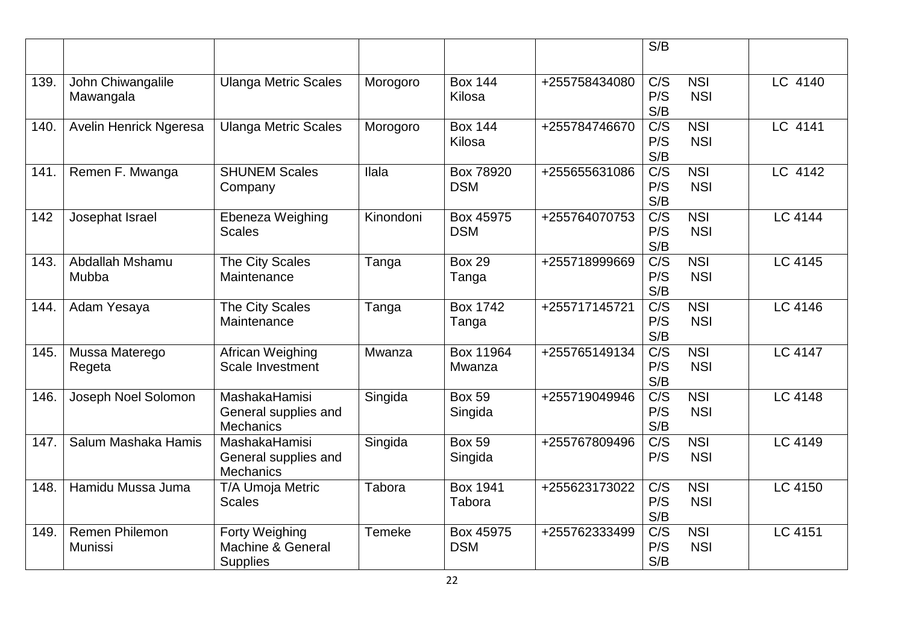|      |                                         |                                                                  |               |                           |               | S/B                            |                                |                |
|------|-----------------------------------------|------------------------------------------------------------------|---------------|---------------------------|---------------|--------------------------------|--------------------------------|----------------|
| 139. | John Chiwangalile<br>Mawangala          | <b>Ulanga Metric Scales</b>                                      | Morogoro      | <b>Box 144</b><br>Kilosa  | +255758434080 | C/S<br>P/S<br>S/B              | <b>NSI</b><br><b>NSI</b>       | LC 4140        |
| 140. | <b>Avelin Henrick Ngeresa</b>           | <b>Ulanga Metric Scales</b>                                      | Morogoro      | <b>Box 144</b><br>Kilosa  | +255784746670 | C/S<br>P/S<br>S/B              | <b>NSI</b><br><b>NSI</b>       | LC 4141        |
| 141. | Remen F. Mwanga                         | <b>SHUNEM Scales</b><br>Company                                  | Ilala         | Box 78920<br><b>DSM</b>   | +255655631086 | $\overline{C/S}$<br>P/S<br>S/B | $\overline{NSI}$<br><b>NSI</b> | LC 4142        |
| 142  | Josephat Israel                         | Ebeneza Weighing<br><b>Scales</b>                                | Kinondoni     | Box 45975<br><b>DSM</b>   | +255764070753 | $\overline{C/S}$<br>P/S<br>S/B | <b>NSI</b><br><b>NSI</b>       | <b>LC 4144</b> |
| 143. | Abdallah Mshamu<br>Mubba                | The City Scales<br>Maintenance                                   | Tanga         | <b>Box 29</b><br>Tanga    | +255718999669 | C/S<br>P/S<br>S/B              | <b>NSI</b><br><b>NSI</b>       | LC 4145        |
| 144. | Adam Yesaya                             | The City Scales<br>Maintenance                                   | Tanga         | <b>Box 1742</b><br>Tanga  | +255717145721 | $\overline{C/S}$<br>P/S<br>S/B | $\overline{NSI}$<br><b>NSI</b> | <b>LC 4146</b> |
| 145. | Mussa Materego<br>Regeta                | African Weighing<br>Scale Investment                             | Mwanza        | Box 11964<br>Mwanza       | +255765149134 | $\overline{C/S}$<br>P/S<br>S/B | <b>NSI</b><br><b>NSI</b>       | <b>LC 4147</b> |
| 146. | Joseph Noel Solomon                     | <b>MashakaHamisi</b><br>General supplies and<br><b>Mechanics</b> | Singida       | <b>Box 59</b><br>Singida  | +255719049946 | $\overline{C/S}$<br>P/S<br>S/B | <b>NSI</b><br><b>NSI</b>       | LC 4148        |
| 147. | Salum Mashaka Hamis                     | MashakaHamisi<br>General supplies and<br><b>Mechanics</b>        | Singida       | <b>Box 59</b><br>Singida  | +255767809496 | $C/\overline{S}$<br>P/S        | <b>NSI</b><br><b>NSI</b>       | LC 4149        |
| 148. | Hamidu Mussa Juma                       | T/A Umoja Metric<br><b>Scales</b>                                | <b>Tabora</b> | <b>Box 1941</b><br>Tabora | +255623173022 | C/S<br>P/S<br>S/B              | <b>NSI</b><br><b>NSI</b>       | LC 4150        |
| 149. | <b>Remen Philemon</b><br><b>Munissi</b> | Forty Weighing<br>Machine & General<br><b>Supplies</b>           | <b>Temeke</b> | Box 45975<br><b>DSM</b>   | +255762333499 | C/S<br>P/S<br>S/B              | <b>NSI</b><br><b>NSI</b>       | LC 4151        |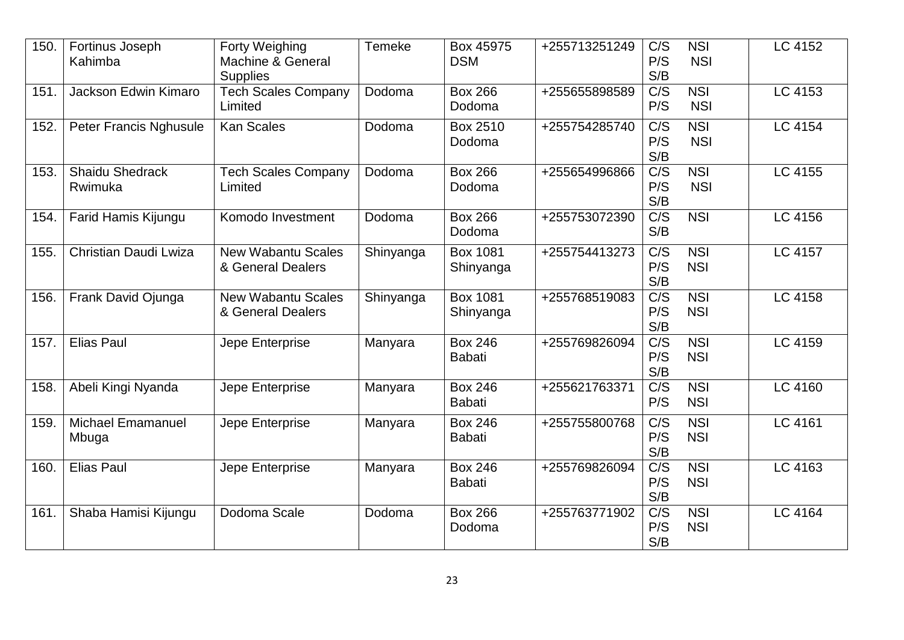| 150. | Fortinus Joseph<br>Kahimba        | Forty Weighing<br>Machine & General<br><b>Supplies</b> | <b>Temeke</b> | Box 45975<br><b>DSM</b>         | +255713251249 | C/S<br>P/S<br>S/B              | <b>NSI</b><br><b>NSI</b> | LC 4152 |
|------|-----------------------------------|--------------------------------------------------------|---------------|---------------------------------|---------------|--------------------------------|--------------------------|---------|
| 151. | Jackson Edwin Kimaro              | <b>Tech Scales Company</b><br>Limited                  | Dodoma        | <b>Box 266</b><br>Dodoma        | +255655898589 | C/S<br>P/S                     | <b>NSI</b><br><b>NSI</b> | LC 4153 |
| 152. | <b>Peter Francis Nghusule</b>     | <b>Kan Scales</b>                                      | Dodoma        | Box 2510<br>Dodoma              | +255754285740 | C/S<br>P/S<br>S/B              | <b>NSI</b><br><b>NSI</b> | LC 4154 |
| 153. | <b>Shaidu Shedrack</b><br>Rwimuka | <b>Tech Scales Company</b><br>Limited                  | Dodoma        | <b>Box 266</b><br>Dodoma        | +255654996866 | $\overline{C/S}$<br>P/S<br>S/B | <b>NSI</b><br><b>NSI</b> | LC 4155 |
| 154. | Farid Hamis Kijungu               | Komodo Investment                                      | Dodoma        | <b>Box 266</b><br>Dodoma        | +255753072390 | $\overline{C/S}$<br>S/B        | <b>NSI</b>               | LC 4156 |
| 155. | Christian Daudi Lwiza             | <b>New Wabantu Scales</b><br>& General Dealers         | Shinyanga     | <b>Box 1081</b><br>Shinyanga    | +255754413273 | C/S<br>P/S<br>S/B              | <b>NSI</b><br><b>NSI</b> | LC 4157 |
| 156. | Frank David Ojunga                | <b>New Wabantu Scales</b><br>& General Dealers         | Shinyanga     | <b>Box 1081</b><br>Shinyanga    | +255768519083 | $\overline{C/S}$<br>P/S<br>S/B | <b>NSI</b><br><b>NSI</b> | LC 4158 |
| 157. | <b>Elias Paul</b>                 | Jepe Enterprise                                        | Manyara       | <b>Box 246</b><br><b>Babati</b> | +255769826094 | C/S<br>P/S<br>S/B              | <b>NSI</b><br><b>NSI</b> | LC 4159 |
| 158. | Abeli Kingi Nyanda                | Jepe Enterprise                                        | Manyara       | <b>Box 246</b><br><b>Babati</b> | +255621763371 | C/S<br>P/S                     | <b>NSI</b><br><b>NSI</b> | LC 4160 |
| 159. | <b>Michael Emamanuel</b><br>Mbuga | Jepe Enterprise                                        | Manyara       | <b>Box 246</b><br><b>Babati</b> | +255755800768 | C/S<br>P/S<br>S/B              | <b>NSI</b><br><b>NSI</b> | LC 4161 |
| 160. | <b>Elias Paul</b>                 | Jepe Enterprise                                        | Manyara       | <b>Box 246</b><br><b>Babati</b> | +255769826094 | $\overline{C/S}$<br>P/S<br>S/B | NSI<br><b>NSI</b>        | LC 4163 |
| 161. | Shaba Hamisi Kijungu              | Dodoma Scale                                           | Dodoma        | <b>Box 266</b><br>Dodoma        | +255763771902 | C/S<br>P/S<br>S/B              | <b>NSI</b><br><b>NSI</b> | LC 4164 |